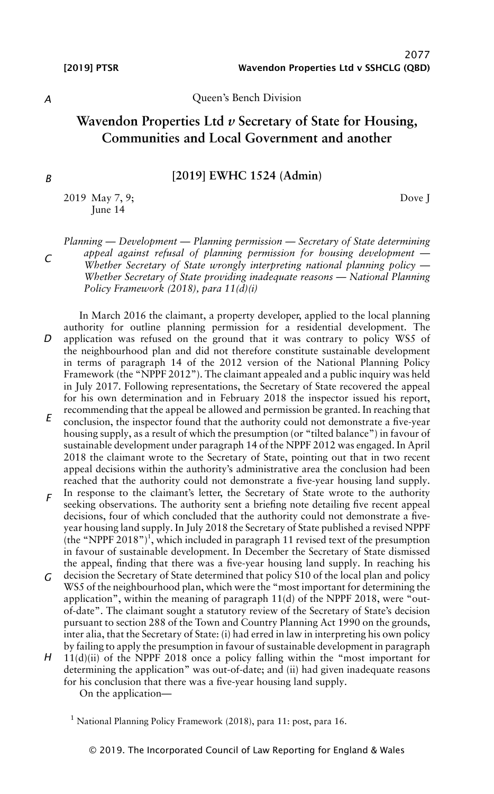Dove J

*A*

### Queen's Bench Division

# **Wavendon Properties Ltd** *v* **Secretary of State for Housing, Communities and Local Government and another**

# **[2019] EWHC 1524 (Admin)**

2019 May 7, 9; June 14

*Planning — Development — Planning permission — Secretary of State determining appeal against refusal of planning permission for housing development — Whether Secretary of State wrongly interpreting national planning policy — Whether Secretary of State providing inadequate reasons — National Planning Policy Framework (2018), para 11(d)(i)*

*D E* In March 2016 the claimant, a property developer, applied to the local planning authority for outline planning permission for a residential development. The application was refused on the ground that it was contrary to policy WS5 of the neighbourhood plan and did not therefore constitute sustainable development in terms of paragraph 14 of the 2012 version of the National Planning Policy Framework (the "NPPF 2012"). The claimant appealed and a public inquiry was held in July 2017. Following representations, the Secretary of State recovered the appeal for his own determination and in February 2018 the inspector issued his report, recommending that the appeal be allowed and permission be granted. In reaching that conclusion, the inspector found that the authority could not demonstrate a five-year housing supply, as a result of which the presumption (or "tilted balance") in favour of sustainable development under paragraph 14 of the NPPF 2012 was engaged. In April 2018 the claimant wrote to the Secretary of State, pointing out that in two recent appeal decisions within the authority's administrative area the conclusion had been

*F* In response to the claimant's letter, the Secretary of State wrote to the authority seeking observations. The authority sent a briefing note detailing five recent appeal decisions, four of which concluded that the authority could not demonstrate a fiveyear housing land supply. In July 2018 the Secretary of State published a revised NPPF  $(the "NPPF 2018")<sup>1</sup>, which included in paragraph 11 revised text of the presupption$ in favour of sustainable development. In December the Secretary of State dismissed the appeal, finding that there was a five-year housing land supply. In reaching his

reached that the authority could not demonstrate a five-year housing land supply.

- *G* decision the Secretary of State determined that policy S10 of the local plan and policy WS5 of the neighbourhood plan, which were the "most important for determining the application", within the meaning of paragraph 11(d) of the NPPF 2018, were "outof-date". The claimant sought a statutory review of the Secretary of State's decision pursuant to section 288 of the Town and Country Planning Act 1990 on the grounds, inter alia, that the Secretary of State: (i) had erred in law in interpreting his own policy by failing to apply the presumption in favour of sustainable development in paragraph
- H 11(d)(ii) of the NPPF 2018 once a policy falling within the "most important for determining the application" was out-of-date; and (ii) had given inadequate reasons for his conclusion that there was a five-year housing land supply.

On the application—

<sup>1</sup> National Planning Policy Framework (2018), para 11: post, para 16.

*C*

*B*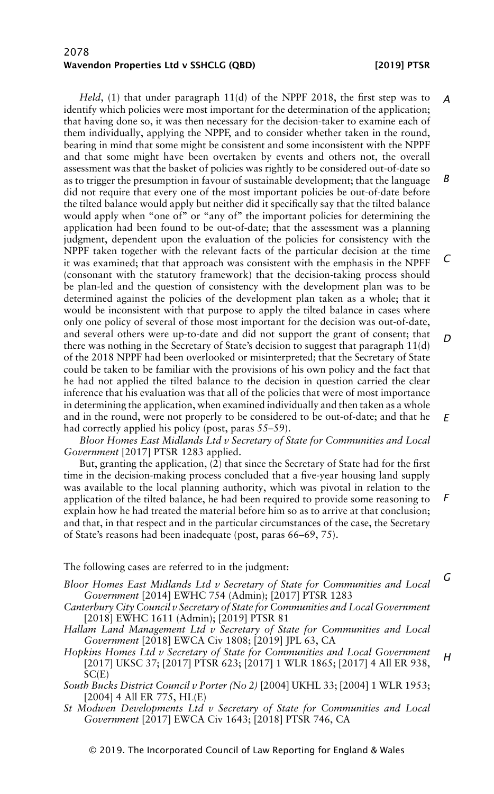*Held*, (1) that under paragraph 11(d) of the NPPF 2018, the first step was to identify which policies were most important for the determination of the application; that having done so, it was then necessary for the decision-taker to examine each of them individually, applying the NPPF, and to consider whether taken in the round, bearing in mind that some might be consistent and some inconsistent with the NPPF and that some might have been overtaken by events and others not, the overall assessment was that the basket of policies was rightly to be considered out-of-date so as to trigger the presumption in favour of sustainable development; that the language did not require that every one of the most important policies be out-of-date before the tilted balance would apply but neither did it specifically say that the tilted balance would apply when "one of" or "any of" the important policies for determining the application had been found to be out-of-date; that the assessment was a planning judgment, dependent upon the evaluation of the policies for consistency with the NPPF taken together with the relevant facts of the particular decision at the time it was examined; that that approach was consistent with the emphasis in the NPFF (consonant with the statutory framework) that the decision-taking process should be plan-led and the question of consistency with the development plan was to be determined against the policies of the development plan taken as a whole; that it would be inconsistent with that purpose to apply the tilted balance in cases where only one policy of several of those most important for the decision was out-of-date, and several others were up-to-date and did not support the grant of consent; that there was nothing in the Secretary of State's decision to suggest that paragraph 11(d) of the 2018 NPPF had been overlooked or misinterpreted; that the Secretary of State could be taken to be familiar with the provisions of his own policy and the fact that he had not applied the tilted balance to the decision in question carried the clear inference that his evaluation was that all of the policies that were of most importance in determining the application, when examined individually and then taken as a whole and in the round, were not properly to be considered to be out-of-date; and that he had correctly applied his policy (post, paras 55–59). *A B C D E*

*Bloor Homes East Midlands Ltd v Secretary of State for Communities and Local Government* [2017] PTSR 1283 applied.

But, granting the application, (2) that since the Secretary of State had for the first time in the decision-making process concluded that a five-year housing land supply was available to the local planning authority, which was pivotal in relation to the application of the tilted balance, he had been required to provide some reasoning to explain how he had treated the material before him so as to arrive at that conclusion; and that, in that respect and in the particular circumstances of the case, the Secretary of State's reasons had been inadequate (post, paras 66–69, 75). *F*

The following cases are referred to in the judgment:

- *Bloor Homes East Midlands Ltd v Secretary of State for Communities and Local Government* [2014] EWHC 754 (Admin); [2017] PTSR 1283
- *Canterbury City Council v Secretary of State for Communities and Local Government* [2018] EWHC 1611 (Admin); [2019] PTSR 81
- *Hallam Land Management Ltd v Secretary of State for Communities and Local Government* [2018] EWCA Civ 1808; [2019] JPL 63, CA
- *Hopkins Homes Ltd v Secretary of State for Communities and Local Government* [2017] UKSC 37; [2017] PTSR 623; [2017] 1 WLR 1865; [2017] 4 All ER 938, SC(E) *H*
- *South Bucks District Council v Porter (No 2)* [2004] UKHL 33; [2004] 1 WLR 1953; [2004] 4 All ER 775, HL(E)
- *St Modwen Developments Ltd v Secretary of State for Communities and Local Government* [2017] EWCA Civ 1643; [2018] PTSR 746, CA

*G*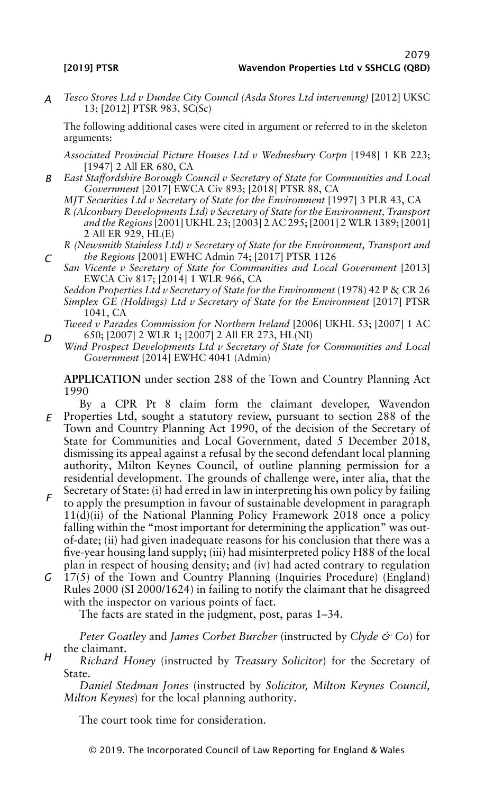*D*

*H*

*A Tesco Stores Ltd v Dundee City Council (Asda Stores Ltd intervening)* [2012] UKSC 13; [2012] PTSR 983, SC(Sc)

The following additional cases were cited in argument or referred to in the skeleton arguments:

*Associated Provincial Picture Houses Ltd v Wednesbury Corpn* [1948] 1 KB 223; [1947] 2 All ER 680, CA

*B East Staffordshire Borough Council v Secretary of State for Communities and Local Government* [2017] EWCA Civ 893; [2018] PTSR 88, CA

*MJT Securities Ltd v Secretary of State for the Environment* [1997] 3 PLR 43, CA

- *R (Alconbury Developments Ltd) v Secretary of State for the Environment, Transport and the Regions* [2001] UKHL 23; [2003] 2 AC 295; [2001] 2 WLR 1389; [2001] 2 All ER 929, HL(E)
- *C R (Newsmith Stainless Ltd) v Secretary of State for the Environment, Transport and the Regions* [2001] EWHC Admin 74; [2017] PTSR 1126
	- *San Vicente v Secretary of State for Communities and Local Government* [2013] EWCA Civ 817; [2014] 1 WLR 966, CA

*Seddon Properties Ltd v Secretary of State for the Environment* (1978) 42 P & CR 26 *Simplex GE (Holdings) Ltd v Secretary of State for the Environment* [2017] PTSR 1041, CA

*Tweed v Parades Commission for Northern Ireland* [2006] UKHL 53; [2007] 1 AC 650; [2007] 2 WLR 1; [2007] 2 All ER 273, HL(NI)

*Wind Prospect Developments Ltd v Secretary of State for Communities and Local Government* [2014] EWHC 4041 (Admin)

**APPLICATION** under section 288 of the Town and Country Planning Act 1990

- *E* By a CPR Pt 8 claim form the claimant developer, Wavendon Properties Ltd, sought a statutory review, pursuant to section 288 of the Town and Country Planning Act 1990, of the decision of the Secretary of State for Communities and Local Government, dated 5 December 2018, dismissing its appeal against a refusal by the second defendant local planning authority, Milton Keynes Council, of outline planning permission for a residential development. The grounds of challenge were, inter alia, that the Secretary of State: (i) had erred in law in interpreting his own policy by failing
- *F* to apply the presumption in favour of sustainable development in paragraph  $11(d)(ii)$  of the National Planning Policy Framework 2018 once a policy falling within the "most important for determining the application" was outof-date; (ii) had given inadequate reasons for his conclusion that there was a five-year housing land supply; (iii) had misinterpreted policy H88 of the local plan in respect of housing density; and (iv) had acted contrary to regulation
- *G* 17(5) of the Town and Country Planning (Inquiries Procedure) (England) Rules 2000 (SI 2000/1624) in failing to notify the claimant that he disagreed with the inspector on various points of fact.

The facts are stated in the judgment, post, paras 1–34.

*Peter Goatley* and *James Corbet Burcher* (instructed by *Clyde & Co*) for the claimant.

*Richard Honey* (instructed by *Treasury Solicitor*) for the Secretary of State.

*Daniel Stedman Jones* (instructed by *Solicitor, Milton Keynes Council, Milton Keynes*) for the local planning authority.

The court took time for consideration.

© 2019. The Incorporated Council of Law Reporting for England & Wales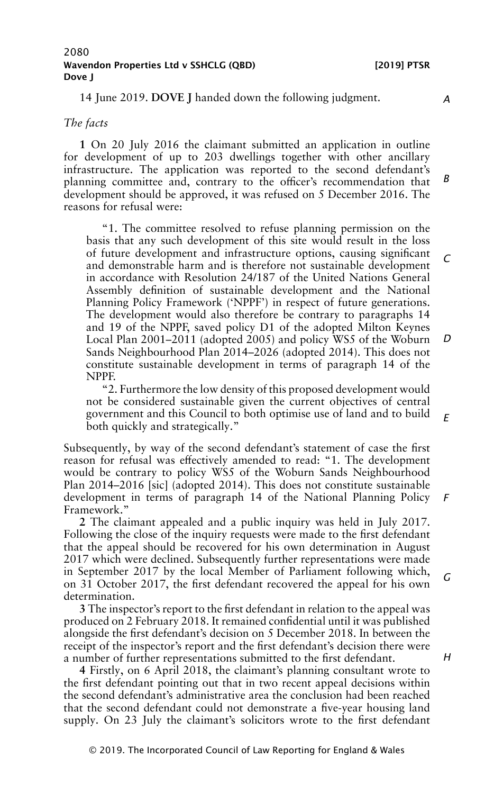14 June 2019. **DOVE J** handed down the following judgment.

#### *The facts*

**1** On 20 July 2016 the claimant submitted an application in outline for development of up to 203 dwellings together with other ancillary infrastructure. The application was reported to the second defendant's planning committee and, contrary to the officer's recommendation that development should be approved, it was refused on 5 December 2016. The reasons for refusal were: *B*

"1. The committee resolved to refuse planning permission on the basis that any such development of this site would result in the loss of future development and infrastructure options, causing significant and demonstrable harm and is therefore not sustainable development in accordance with Resolution 24/187 of the United Nations General Assembly definition of sustainable development and the National Planning Policy Framework ('NPPF') in respect of future generations. The development would also therefore be contrary to paragraphs 14 and 19 of the NPPF, saved policy D1 of the adopted Milton Keynes Local Plan 2001–2011 (adopted 2005) and policy WS5 of the Woburn Sands Neighbourhood Plan 2014–2026 (adopted 2014). This does not constitute sustainable development in terms of paragraph 14 of the NPPF. *C D*

"2. Furthermore the low density of this proposed development would not be considered sustainable given the current objectives of central government and this Council to both optimise use of land and to build both quickly and strategically." *E*

Subsequently, by way of the second defendant's statement of case the first reason for refusal was effectively amended to read: "1. The development would be contrary to policy WS5 of the Woburn Sands Neighbourhood Plan 2014–2016 [sic] (adopted 2014). This does not constitute sustainable development in terms of paragraph 14 of the National Planning Policy Framework."

**2** The claimant appealed and a public inquiry was held in July 2017. Following the close of the inquiry requests were made to the first defendant that the appeal should be recovered for his own determination in August 2017 which were declined. Subsequently further representations were made in September 2017 by the local Member of Parliament following which, on 31 October 2017, the first defendant recovered the appeal for his own determination.

**3** The inspector's report to the first defendant in relation to the appeal was produced on 2 February 2018. It remained confidential until it was published alongside the first defendant's decision on 5 December 2018. In between the receipt of the inspector's report and the first defendant's decision there were a number of further representations submitted to the first defendant.

**4** Firstly, on 6 April 2018, the claimant's planning consultant wrote to the first defendant pointing out that in two recent appeal decisions within the second defendant's administrative area the conclusion had been reached that the second defendant could not demonstrate a five-year housing land supply. On 23 July the claimant's solicitors wrote to the first defendant

*A*

*H*

*F*

*G*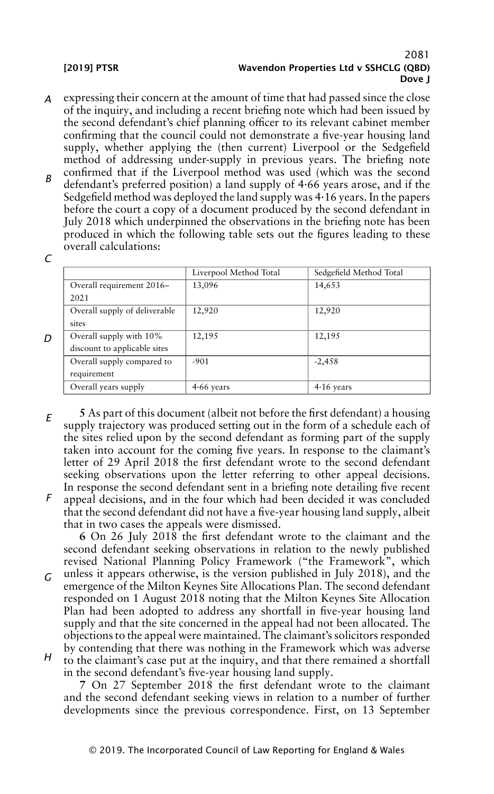- *A* expressing their concern at the amount of time that had passed since the close of the inquiry, and including a recent briefing note which had been issued by the second defendant's chief planning officer to its relevant cabinet member confirming that the council could not demonstrate a five-year housing land supply, whether applying the (then current) Liverpool or the Sedgefield method of addressing under-supply in previous years. The briefing note
- *B* confirmed that if the Liverpool method was used (which was the second defendant's preferred position) a land supply of 4·66 years arose, and if the Sedgefield method was deployed the land supply was 4·16 years. In the papers before the court a copy of a document produced by the second defendant in July 2018 which underpinned the observations in the briefing note has been produced in which the following table sets out the figures leading to these overall calculations:

*C*

*D*

|                               | Liverpool Method Total | Sedgefield Method Total |
|-------------------------------|------------------------|-------------------------|
| Overall requirement 2016-     | 13,096                 | 14,653                  |
| 2021                          |                        |                         |
| Overall supply of deliverable | 12,920                 | 12,920                  |
| sites                         |                        |                         |
| Overall supply with 10%       | 12,195                 | 12,195                  |
| discount to applicable sites  |                        |                         |
| Overall supply compared to    | $-901$                 | $-2,458$                |
| requirement                   |                        |                         |
| Overall years supply          | $4.66$ years           | $4.16$ years            |

- *E F* **5** As part of this document (albeit not before the first defendant) a housing supply trajectory was produced setting out in the form of a schedule each of the sites relied upon by the second defendant as forming part of the supply taken into account for the coming five years. In response to the claimant's letter of 29 April 2018 the first defendant wrote to the second defendant seeking observations upon the letter referring to other appeal decisions. In response the second defendant sent in a briefing note detailing five recent
- appeal decisions, and in the four which had been decided it was concluded that the second defendant did not have a five-year housing land supply, albeit that in two cases the appeals were dismissed.

**6** On 26 July 2018 the first defendant wrote to the claimant and the second defendant seeking observations in relation to the newly published revised National Planning Policy Framework ("the Framework", which

- *G* unless it appears otherwise, is the version published in July 2018), and the emergence of the Milton Keynes Site Allocations Plan. The second defendant responded on 1 August 2018 noting that the Milton Keynes Site Allocation Plan had been adopted to address any shortfall in five-year housing land supply and that the site concerned in the appeal had not been allocated. The objections to the appeal were maintained. The claimant's solicitors responded by contending that there was nothing in the Framework which was adverse
- *H* to the claimant's case put at the inquiry, and that there remained a shortfall in the second defendant's five-year housing land supply.

**7** On 27 September 2018 the first defendant wrote to the claimant and the second defendant seeking views in relation to a number of further developments since the previous correspondence. First, on 13 September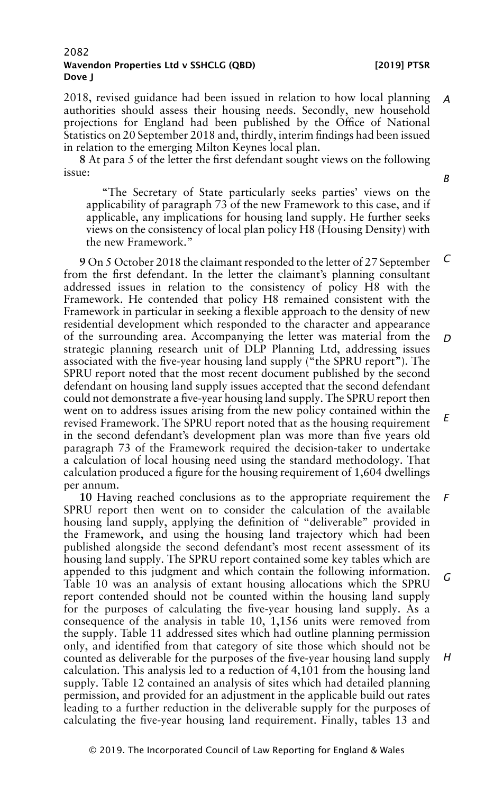2018, revised guidance had been issued in relation to how local planning authorities should assess their housing needs. Secondly, new household projections for England had been published by the Office of National Statistics on 20 September 2018 and, thirdly, interim findings had been issued in relation to the emerging Milton Keynes local plan. *A*

**8** At para 5 of the letter the first defendant sought views on the following issue:

"The Secretary of State particularly seeks parties' views on the applicability of paragraph 73 of the new Framework to this case, and if applicable, any implications for housing land supply. He further seeks views on the consistency of local plan policy H8 (Housing Density) with the new Framework."

**9** On 5 October 2018 the claimant responded to the letter of 27 September from the first defendant. In the letter the claimant's planning consultant addressed issues in relation to the consistency of policy H8 with the Framework. He contended that policy H8 remained consistent with the Framework in particular in seeking a flexible approach to the density of new residential development which responded to the character and appearance of the surrounding area. Accompanying the letter was material from the strategic planning research unit of DLP Planning Ltd, addressing issues associated with the five-year housing land supply ("the SPRU report"). The SPRU report noted that the most recent document published by the second defendant on housing land supply issues accepted that the second defendant could not demonstrate a five-year housing land supply. The SPRU report then went on to address issues arising from the new policy contained within the revised Framework. The SPRU report noted that as the housing requirement in the second defendant's development plan was more than five years old paragraph 73 of the Framework required the decision-taker to undertake a calculation of local housing need using the standard methodology. That calculation produced a figure for the housing requirement of 1,604 dwellings per annum. *C D E*

**10** Having reached conclusions as to the appropriate requirement the SPRU report then went on to consider the calculation of the available housing land supply, applying the definition of "deliverable" provided in the Framework, and using the housing land trajectory which had been published alongside the second defendant's most recent assessment of its housing land supply. The SPRU report contained some key tables which are appended to this judgment and which contain the following information. Table 10 was an analysis of extant housing allocations which the SPRU report contended should not be counted within the housing land supply for the purposes of calculating the five-year housing land supply. As a consequence of the analysis in table 10, 1,156 units were removed from the supply. Table 11 addressed sites which had outline planning permission only, and identified from that category of site those which should not be counted as deliverable for the purposes of the five-year housing land supply calculation. This analysis led to a reduction of 4,101 from the housing land supply. Table 12 contained an analysis of sites which had detailed planning permission, and provided for an adjustment in the applicable build out rates leading to a further reduction in the deliverable supply for the purposes of calculating the five-year housing land requirement. Finally, tables 13 and *F G H*

*B*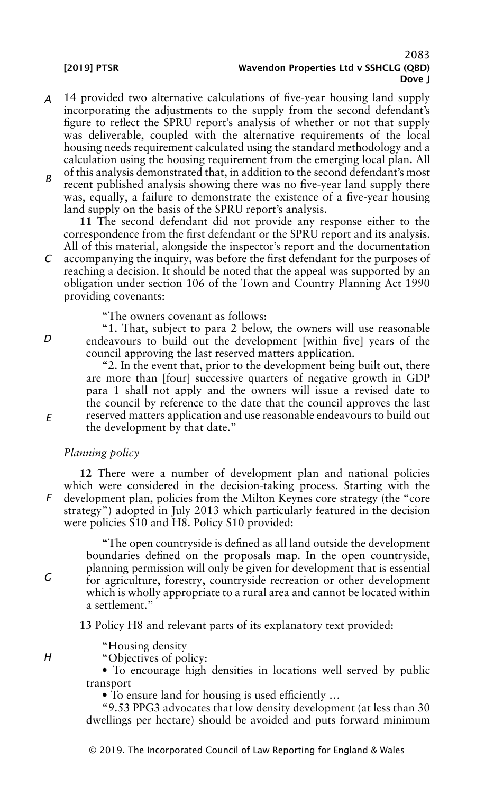- *A* 14 provided two alternative calculations of five-year housing land supply incorporating the adjustments to the supply from the second defendant's figure to reflect the SPRU report's analysis of whether or not that supply was deliverable, coupled with the alternative requirements of the local housing needs requirement calculated using the standard methodology and a calculation using the housing requirement from the emerging local plan. All of this analysis demonstrated that, in addition to the second defendant's most
- *B* recent published analysis showing there was no five-year land supply there was, equally, a failure to demonstrate the existence of a five-year housing land supply on the basis of the SPRU report's analysis.

**11** The second defendant did not provide any response either to the correspondence from the first defendant or the SPRU report and its analysis. All of this material, alongside the inspector's report and the documentation

*C* accompanying the inquiry, was before the first defendant for the purposes of reaching a decision. It should be noted that the appeal was supported by an obligation under section 106 of the Town and Country Planning Act 1990 providing covenants:

"The owners covenant as follows:

"1. That, subject to para 2 below, the owners will use reasonable endeavours to build out the development [within five] years of the council approving the last reserved matters application.

"2. In the event that, prior to the development being built out, there are more than [four] successive quarters of negative growth in GDP para 1 shall not apply and the owners will issue a revised date to the council by reference to the date that the council approves the last reserved matters application and use reasonable endeavours to build out the development by that date."

### *Planning policy*

*F* **12** There were a number of development plan and national policies which were considered in the decision-taking process. Starting with the development plan, policies from the Milton Keynes core strategy (the "core strategy") adopted in July 2013 which particularly featured in the decision were policies S10 and H8. Policy S10 provided:

"The open countryside is defined as all land outside the development boundaries defined on the proposals map. In the open countryside, planning permission will only be given for development that is essential for agriculture, forestry, countryside recreation or other development which is wholly appropriate to a rural area and cannot be located within a settlement."

**13** Policy H8 and relevant parts of its explanatory text provided:

"Housing density

"Objectives of policy:

• To encourage high densities in locations well served by public transport

• To ensure land for housing is used efficiently …

"9.53 PPG3 advocates that low density development (at less than 30 dwellings per hectare) should be avoided and puts forward minimum

© 2019. The Incorporated Council of Law Reporting for England & Wales

*D*

*E*

*H*

*G*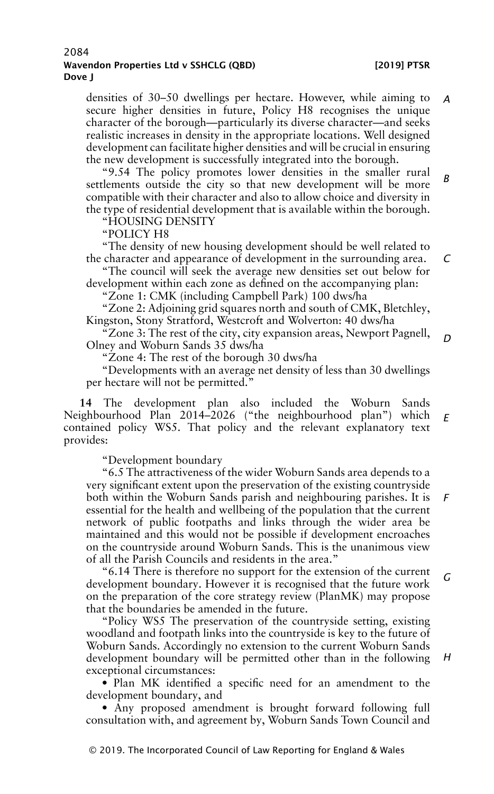densities of 30–50 dwellings per hectare. However, while aiming to secure higher densities in future, Policy H8 recognises the unique character of the borough—particularly its diverse character—and seeks realistic increases in density in the appropriate locations. Well designed development can facilitate higher densities and will be crucial in ensuring the new development is successfully integrated into the borough. *A*

"9.54 The policy promotes lower densities in the smaller rural settlements outside the city so that new development will be more compatible with their character and also to allow choice and diversity in the type of residential development that is available within the borough. *B*

"HOUSING DENSITY

"POLICY H8

"The density of new housing development should be well related to the character and appearance of development in the surrounding area.

"The council will seek the average new densities set out below for development within each zone as defined on the accompanying plan:

"Zone 1: CMK (including Campbell Park) 100 dws/ha

"Zone 2: Adjoining grid squares north and south of CMK, Bletchley, Kingston, Stony Stratford, Westcroft and Wolverton: 40 dws/ha

"Zone 3: The rest of the city, city expansion areas, Newport Pagnell, Olney and Woburn Sands 35 dws/ha *D*

"Zone 4: The rest of the borough 30 dws/ha

"Developments with an average net density of less than 30 dwellings per hectare will not be permitted."

**14** The development plan also included the Woburn Sands Neighbourhood Plan 2014–2026 ("the neighbourhood plan") which *E* contained policy WS5. That policy and the relevant explanatory text provides:

"Development boundary

"6.5 The attractiveness of the wider Woburn Sands area depends to a very significant extent upon the preservation of the existing countryside both within the Woburn Sands parish and neighbouring parishes. It is essential for the health and wellbeing of the population that the current network of public footpaths and links through the wider area be maintained and this would not be possible if development encroaches on the countryside around Woburn Sands. This is the unanimous view of all the Parish Councils and residents in the area." *F*

"6.14 There is therefore no support for the extension of the current development boundary. However it is recognised that the future work on the preparation of the core strategy review (PlanMK) may propose that the boundaries be amended in the future. *G*

"Policy WS5 The preservation of the countryside setting, existing woodland and footpath links into the countryside is key to the future of Woburn Sands. Accordingly no extension to the current Woburn Sands development boundary will be permitted other than in the following exceptional circumstances:

• Plan MK identified a specific need for an amendment to the development boundary, and

• Any proposed amendment is brought forward following full consultation with, and agreement by, Woburn Sands Town Council and

*H*

*C*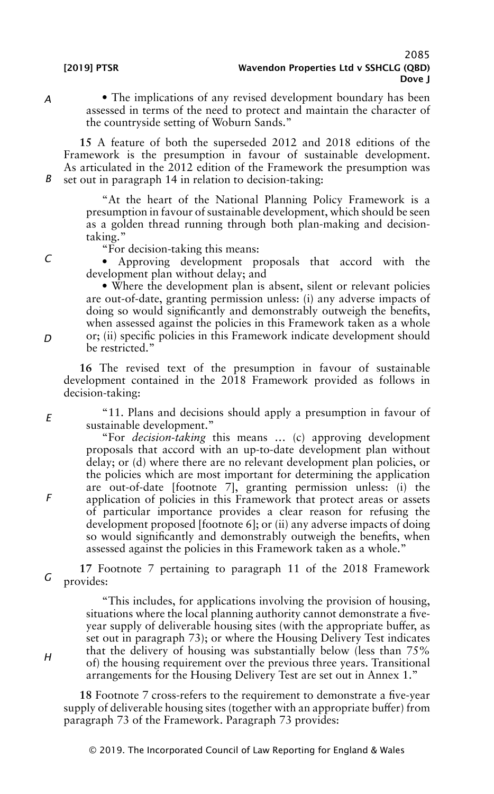• The implications of any revised development boundary has been assessed in terms of the need to protect and maintain the character of the countryside setting of Woburn Sands."

*B* **15** A feature of both the superseded 2012 and 2018 editions of the Framework is the presumption in favour of sustainable development. As articulated in the 2012 edition of the Framework the presumption was set out in paragraph 14 in relation to decision-taking:

> "At the heart of the National Planning Policy Framework is a presumption in favour of sustainable development, which should be seen as a golden thread running through both plan-making and decisiontaking."

"For decision-taking this means:

• Approving development proposals that accord with the development plan without delay; and

• Where the development plan is absent, silent or relevant policies are out-of-date, granting permission unless: (i) any adverse impacts of doing so would significantly and demonstrably outweigh the benefits, when assessed against the policies in this Framework taken as a whole or; (ii) specific policies in this Framework indicate development should be restricted."

**16** The revised text of the presumption in favour of sustainable development contained in the 2018 Framework provided as follows in decision-taking:

"11. Plans and decisions should apply a presumption in favour of sustainable development."

"For *decision-taking* this means … (c) approving development proposals that accord with an up-to-date development plan without delay; or (d) where there are no relevant development plan policies, or the policies which are most important for determining the application are out-of-date [footnote 7], granting permission unless: (i) the application of policies in this Framework that protect areas or assets of particular importance provides a clear reason for refusing the development proposed [footnote 6]; or (ii) any adverse impacts of doing so would significantly and demonstrably outweigh the benefits, when assessed against the policies in this Framework taken as a whole."

*G* **17** Footnote 7 pertaining to paragraph 11 of the 2018 Framework provides:

> "This includes, for applications involving the provision of housing, situations where the local planning authority cannot demonstrate a fiveyear supply of deliverable housing sites (with the appropriate buffer, as set out in paragraph 73); or where the Housing Delivery Test indicates that the delivery of housing was substantially below (less than 75% of) the housing requirement over the previous three years. Transitional arrangements for the Housing Delivery Test are set out in Annex 1."

**18** Footnote 7 cross-refers to the requirement to demonstrate a five-year supply of deliverable housing sites (together with an appropriate buffer) from paragraph 73 of the Framework. Paragraph 73 provides:

© 2019. The Incorporated Council of Law Reporting for England & Wales

*C*

*A*

*D*

*E*

*F*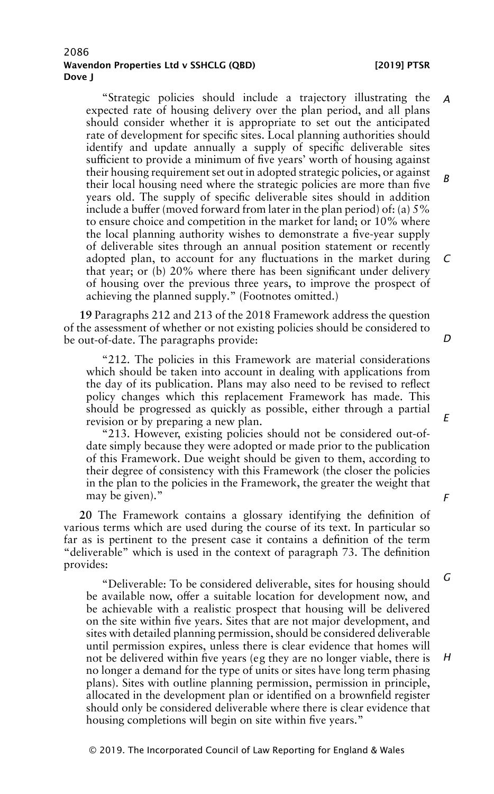"Strategic policies should include a trajectory illustrating the expected rate of housing delivery over the plan period, and all plans should consider whether it is appropriate to set out the anticipated rate of development for specific sites. Local planning authorities should identify and update annually a supply of specific deliverable sites sufficient to provide a minimum of five years' worth of housing against their housing requirement set out in adopted strategic policies, or against their local housing need where the strategic policies are more than five years old. The supply of specific deliverable sites should in addition include a buffer (moved forward from later in the plan period) of: (a) 5% to ensure choice and competition in the market for land; or 10% where the local planning authority wishes to demonstrate a five-year supply of deliverable sites through an annual position statement or recently adopted plan, to account for any fluctuations in the market during that year; or (b) 20% where there has been significant under delivery of housing over the previous three years, to improve the prospect of achieving the planned supply." (Footnotes omitted.) *A B C*

**19** Paragraphs 212 and 213 of the 2018 Framework address the question of the assessment of whether or not existing policies should be considered to be out-of-date. The paragraphs provide:

"212. The policies in this Framework are material considerations which should be taken into account in dealing with applications from the day of its publication. Plans may also need to be revised to reflect policy changes which this replacement Framework has made. This should be progressed as quickly as possible, either through a partial revision or by preparing a new plan.

"213. However, existing policies should not be considered out-ofdate simply because they were adopted or made prior to the publication of this Framework. Due weight should be given to them, according to their degree of consistency with this Framework (the closer the policies in the plan to the policies in the Framework, the greater the weight that may be given)."

**20** The Framework contains a glossary identifying the definition of various terms which are used during the course of its text. In particular so far as is pertinent to the present case it contains a definition of the term "deliverable" which is used in the context of paragraph 73. The definition provides:

"Deliverable: To be considered deliverable, sites for housing should be available now, offer a suitable location for development now, and be achievable with a realistic prospect that housing will be delivered on the site within five years. Sites that are not major development, and sites with detailed planning permission, should be considered deliverable until permission expires, unless there is clear evidence that homes will not be delivered within five years (eg they are no longer viable, there is no longer a demand for the type of units or sites have long term phasing plans). Sites with outline planning permission, permission in principle, allocated in the development plan or identified on a brownfield register should only be considered deliverable where there is clear evidence that housing completions will begin on site within five years."

© 2019. The Incorporated Council of Law Reporting for England & Wales

*D*

*E*

*G*

*F*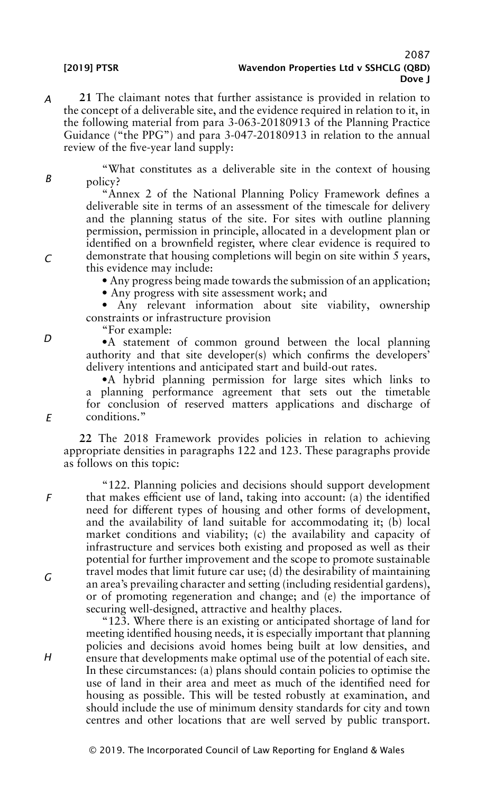*A* **21** The claimant notes that further assistance is provided in relation to the concept of a deliverable site, and the evidence required in relation to it, in the following material from para 3-063-20180913 of the Planning Practice Guidance ("the PPG") and para 3-047-20180913 in relation to the annual review of the five-year land supply:

"What constitutes as a deliverable site in the context of housing policy?

"Annex 2 of the National Planning Policy Framework defines a deliverable site in terms of an assessment of the timescale for delivery and the planning status of the site. For sites with outline planning permission, permission in principle, allocated in a development plan or identified on a brownfield register, where clear evidence is required to demonstrate that housing completions will begin on site within 5 years, this evidence may include:

• Any progress being made towards the submission of an application;

• Any progress with site assessment work; and

• Any relevant information about site viability, ownership constraints or infrastructure provision

"For example:

•A statement of common ground between the local planning authority and that site developer(s) which confirms the developers' delivery intentions and anticipated start and build-out rates.

•A hybrid planning permission for large sites which links to a planning performance agreement that sets out the timetable for conclusion of reserved matters applications and discharge of conditions."

**22** The 2018 Framework provides policies in relation to achieving appropriate densities in paragraphs 122 and 123. These paragraphs provide as follows on this topic:

"122. Planning policies and decisions should support development that makes efficient use of land, taking into account: (a) the identified need for different types of housing and other forms of development, and the availability of land suitable for accommodating it; (b) local market conditions and viability; (c) the availability and capacity of infrastructure and services both existing and proposed as well as their potential for further improvement and the scope to promote sustainable travel modes that limit future car use; (d) the desirability of maintaining an area's prevailing character and setting (including residential gardens), or of promoting regeneration and change; and (e) the importance of securing well-designed, attractive and healthy places.

"123. Where there is an existing or anticipated shortage of land for meeting identified housing needs, it is especially important that planning policies and decisions avoid homes being built at low densities, and ensure that developments make optimal use of the potential of each site. In these circumstances: (a) plans should contain policies to optimise the use of land in their area and meet as much of the identified need for housing as possible. This will be tested robustly at examination, and should include the use of minimum density standards for city and town centres and other locations that are well served by public transport.

*D*

*E*

*F*

*G*

*B*

*C*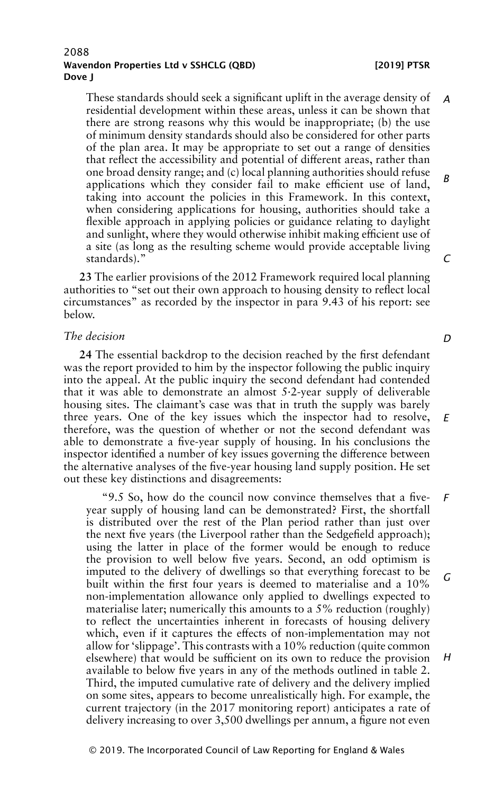These standards should seek a significant uplift in the average density of residential development within these areas, unless it can be shown that there are strong reasons why this would be inappropriate; (b) the use of minimum density standards should also be considered for other parts of the plan area. It may be appropriate to set out a range of densities that reflect the accessibility and potential of different areas, rather than one broad density range; and (c) local planning authorities should refuse applications which they consider fail to make efficient use of land, taking into account the policies in this Framework. In this context, when considering applications for housing, authorities should take a flexible approach in applying policies or guidance relating to daylight and sunlight, where they would otherwise inhibit making efficient use of a site (as long as the resulting scheme would provide acceptable living standards)." *A B C*

**23** The earlier provisions of the 2012 Framework required local planning authorities to "set out their own approach to housing density to reflect local circumstances" as recorded by the inspector in para 9.43 of his report: see below.

#### *The decision*

**24** The essential backdrop to the decision reached by the first defendant was the report provided to him by the inspector following the public inquiry into the appeal. At the public inquiry the second defendant had contended that it was able to demonstrate an almost 5·2-year supply of deliverable housing sites. The claimant's case was that in truth the supply was barely three years. One of the key issues which the inspector had to resolve, therefore, was the question of whether or not the second defendant was able to demonstrate a five-year supply of housing. In his conclusions the inspector identified a number of key issues governing the difference between the alternative analyses of the five-year housing land supply position. He set out these key distinctions and disagreements: *E*

"9.5 So, how do the council now convince themselves that a fiveyear supply of housing land can be demonstrated? First, the shortfall is distributed over the rest of the Plan period rather than just over the next five years (the Liverpool rather than the Sedgefield approach); using the latter in place of the former would be enough to reduce the provision to well below five years. Second, an odd optimism is imputed to the delivery of dwellings so that everything forecast to be built within the first four years is deemed to materialise and a 10% non-implementation allowance only applied to dwellings expected to materialise later; numerically this amounts to a 5% reduction (roughly) to reflect the uncertainties inherent in forecasts of housing delivery which, even if it captures the effects of non-implementation may not allow for 'slippage'. This contrasts with a 10% reduction (quite common elsewhere) that would be sufficient on its own to reduce the provision available to below five years in any of the methods outlined in table 2. Third, the imputed cumulative rate of delivery and the delivery implied on some sites, appears to become unrealistically high. For example, the current trajectory (in the 2017 monitoring report) anticipates a rate of delivery increasing to over 3,500 dwellings per annum, a figure not even *F G H*

*D*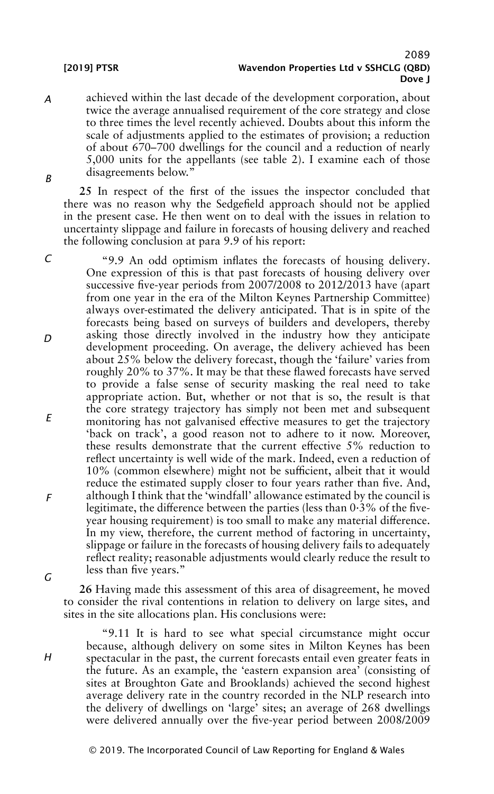*A B* achieved within the last decade of the development corporation, about twice the average annualised requirement of the core strategy and close to three times the level recently achieved. Doubts about this inform the scale of adjustments applied to the estimates of provision; a reduction of about 670–700 dwellings for the council and a reduction of nearly 5,000 units for the appellants (see table 2). I examine each of those disagreements below."

**25** In respect of the first of the issues the inspector concluded that there was no reason why the Sedgefield approach should not be applied in the present case. He then went on to deal with the issues in relation to uncertainty slippage and failure in forecasts of housing delivery and reached the following conclusion at para 9.9 of his report:

*C D E F* "9.9 An odd optimism inflates the forecasts of housing delivery. One expression of this is that past forecasts of housing delivery over successive five-year periods from 2007/2008 to 2012/2013 have (apart from one year in the era of the Milton Keynes Partnership Committee) always over-estimated the delivery anticipated. That is in spite of the forecasts being based on surveys of builders and developers, thereby asking those directly involved in the industry how they anticipate development proceeding. On average, the delivery achieved has been about 25% below the delivery forecast, though the 'failure' varies from roughly 20% to 37%. It may be that these flawed forecasts have served to provide a false sense of security masking the real need to take appropriate action. But, whether or not that is so, the result is that the core strategy trajectory has simply not been met and subsequent monitoring has not galvanised effective measures to get the trajectory 'back on track', a good reason not to adhere to it now. Moreover, these results demonstrate that the current effective 5% reduction to reflect uncertainty is well wide of the mark. Indeed, even a reduction of 10% (common elsewhere) might not be sufficient, albeit that it would reduce the estimated supply closer to four years rather than five. And, although I think that the 'windfall' allowance estimated by the council is legitimate, the difference between the parties (less than 0·3% of the fiveyear housing requirement) is too small to make any material difference. In my view, therefore, the current method of factoring in uncertainty, slippage or failure in the forecasts of housing delivery fails to adequately reflect reality; reasonable adjustments would clearly reduce the result to less than five years."

*G*

**26** Having made this assessment of this area of disagreement, he moved to consider the rival contentions in relation to delivery on large sites, and sites in the site allocations plan. His conclusions were:

*H*

"9.11 It is hard to see what special circumstance might occur because, although delivery on some sites in Milton Keynes has been spectacular in the past, the current forecasts entail even greater feats in the future. As an example, the 'eastern expansion area' (consisting of sites at Broughton Gate and Brooklands) achieved the second highest average delivery rate in the country recorded in the NLP research into the delivery of dwellings on 'large' sites; an average of 268 dwellings were delivered annually over the five-year period between 2008/2009

© 2019. The Incorporated Council of Law Reporting for England & Wales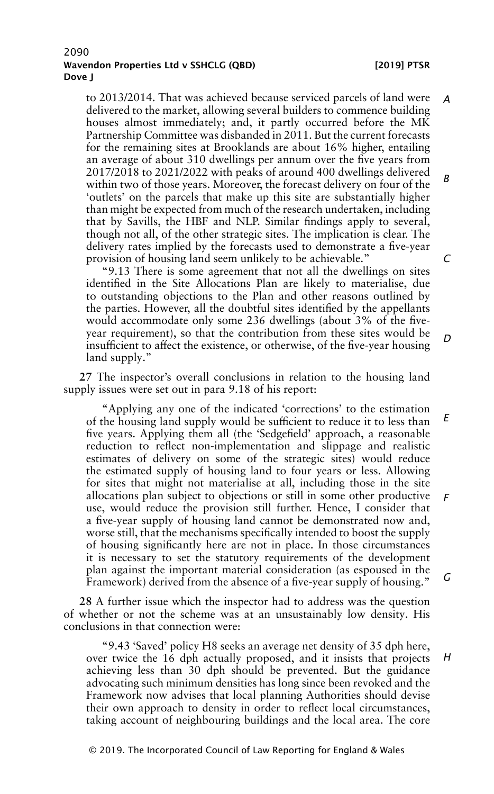to 2013/2014. That was achieved because serviced parcels of land were delivered to the market, allowing several builders to commence building houses almost immediately; and, it partly occurred before the MK Partnership Committee was disbanded in 2011. But the current forecasts for the remaining sites at Brooklands are about 16% higher, entailing an average of about 310 dwellings per annum over the five years from 2017/2018 to 2021/2022 with peaks of around 400 dwellings delivered within two of those years. Moreover, the forecast delivery on four of the 'outlets' on the parcels that make up this site are substantially higher than might be expected from much of the research undertaken, including that by Savills, the HBF and NLP. Similar findings apply to several, though not all, of the other strategic sites. The implication is clear. The delivery rates implied by the forecasts used to demonstrate a five-year provision of housing land seem unlikely to be achievable." *A B C*

"9.13 There is some agreement that not all the dwellings on sites identified in the Site Allocations Plan are likely to materialise, due to outstanding objections to the Plan and other reasons outlined by the parties. However, all the doubtful sites identified by the appellants would accommodate only some 236 dwellings (about 3% of the fiveyear requirement), so that the contribution from these sites would be insufficient to affect the existence, or otherwise, of the five-year housing land supply."

**27** The inspector's overall conclusions in relation to the housing land supply issues were set out in para 9.18 of his report:

"Applying any one of the indicated 'corrections' to the estimation of the housing land supply would be sufficient to reduce it to less than five years. Applying them all (the 'Sedgefield' approach, a reasonable reduction to reflect non-implementation and slippage and realistic estimates of delivery on some of the strategic sites) would reduce the estimated supply of housing land to four years or less. Allowing for sites that might not materialise at all, including those in the site allocations plan subject to objections or still in some other productive use, would reduce the provision still further. Hence, I consider that a five-year supply of housing land cannot be demonstrated now and, worse still, that the mechanisms specifically intended to boost the supply of housing significantly here are not in place. In those circumstances it is necessary to set the statutory requirements of the development plan against the important material consideration (as espoused in the Framework) derived from the absence of a five-year supply of housing." *E F G*

**28** A further issue which the inspector had to address was the question of whether or not the scheme was at an unsustainably low density. His conclusions in that connection were:

"9.43 'Saved' policy H8 seeks an average net density of 35 dph here, over twice the 16 dph actually proposed, and it insists that projects achieving less than 30 dph should be prevented. But the guidance advocating such minimum densities has long since been revoked and the Framework now advises that local planning Authorities should devise their own approach to density in order to reflect local circumstances, taking account of neighbouring buildings and the local area. The core

# *D*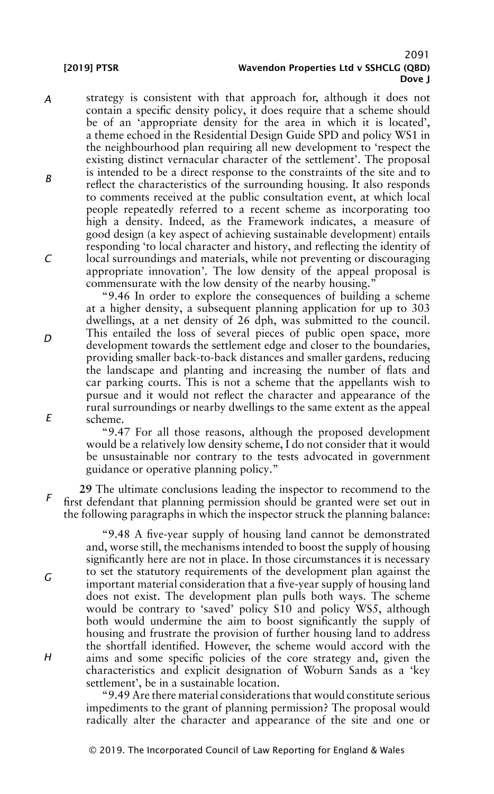*A B C* strategy is consistent with that approach for, although it does not contain a specific density policy, it does require that a scheme should be of an 'appropriate density for the area in which it is located', a theme echoed in the Residential Design Guide SPD and policy WS1 in the neighbourhood plan requiring all new development to 'respect the existing distinct vernacular character of the settlement'. The proposal is intended to be a direct response to the constraints of the site and to reflect the characteristics of the surrounding housing. It also responds to comments received at the public consultation event, at which local people repeatedly referred to a recent scheme as incorporating too high a density. Indeed, as the Framework indicates, a measure of good design (a key aspect of achieving sustainable development) entails responding 'to local character and history, and reflecting the identity of local surroundings and materials, while not preventing or discouraging appropriate innovation'. The low density of the appeal proposal is commensurate with the low density of the nearby housing."

"9.46 In order to explore the consequences of building a scheme at a higher density, a subsequent planning application for up to 303 dwellings, at a net density of 26 dph, was submitted to the council. This entailed the loss of several pieces of public open space, more development towards the settlement edge and closer to the boundaries, providing smaller back-to-back distances and smaller gardens, reducing the landscape and planting and increasing the number of flats and car parking courts. This is not a scheme that the appellants wish to pursue and it would not reflect the character and appearance of the rural surroundings or nearby dwellings to the same extent as the appeal scheme.

"9.47 For all those reasons, although the proposed development would be a relatively low density scheme, I do not consider that it would be unsustainable nor contrary to the tests advocated in government guidance or operative planning policy."

*F* **29** The ultimate conclusions leading the inspector to recommend to the first defendant that planning permission should be granted were set out in the following paragraphs in which the inspector struck the planning balance:

> "9.48 A five-year supply of housing land cannot be demonstrated and, worse still, the mechanisms intended to boost the supply of housing significantly here are not in place. In those circumstances it is necessary to set the statutory requirements of the development plan against the important material consideration that a five-year supply of housing land does not exist. The development plan pulls both ways. The scheme would be contrary to 'saved' policy S10 and policy WS5, although both would undermine the aim to boost significantly the supply of housing and frustrate the provision of further housing land to address the shortfall identified. However, the scheme would accord with the aims and some specific policies of the core strategy and, given the characteristics and explicit designation of Woburn Sands as a 'key settlement', be in a sustainable location.

> "9.49 Are there material considerations that would constitute serious impediments to the grant of planning permission? The proposal would radically alter the character and appearance of the site and one or

*D*

*E*

*G*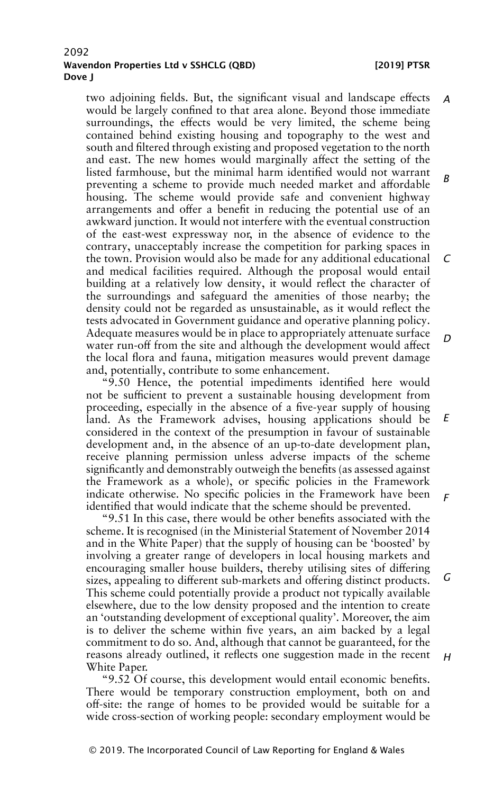two adjoining fields. But, the significant visual and landscape effects would be largely confined to that area alone. Beyond those immediate surroundings, the effects would be very limited, the scheme being contained behind existing housing and topography to the west and south and filtered through existing and proposed vegetation to the north and east. The new homes would marginally affect the setting of the listed farmhouse, but the minimal harm identified would not warrant preventing a scheme to provide much needed market and affordable housing. The scheme would provide safe and convenient highway arrangements and offer a benefit in reducing the potential use of an awkward junction. It would not interfere with the eventual construction of the east-west expressway nor, in the absence of evidence to the contrary, unacceptably increase the competition for parking spaces in the town. Provision would also be made for any additional educational and medical facilities required. Although the proposal would entail building at a relatively low density, it would reflect the character of the surroundings and safeguard the amenities of those nearby; the density could not be regarded as unsustainable, as it would reflect the tests advocated in Government guidance and operative planning policy. Adequate measures would be in place to appropriately attenuate surface water run-off from the site and although the development would affect the local flora and fauna, mitigation measures would prevent damage and, potentially, contribute to some enhancement. *A B C D*

"9.50 Hence, the potential impediments identified here would not be sufficient to prevent a sustainable housing development from proceeding, especially in the absence of a five-year supply of housing land. As the Framework advises, housing applications should be considered in the context of the presumption in favour of sustainable development and, in the absence of an up-to-date development plan, receive planning permission unless adverse impacts of the scheme significantly and demonstrably outweigh the benefits (as assessed against the Framework as a whole), or specific policies in the Framework indicate otherwise. No specific policies in the Framework have been identified that would indicate that the scheme should be prevented. *E F*

"9.51 In this case, there would be other benefits associated with the scheme. It is recognised (in the Ministerial Statement of November 2014 and in the White Paper) that the supply of housing can be 'boosted' by involving a greater range of developers in local housing markets and encouraging smaller house builders, thereby utilising sites of differing sizes, appealing to different sub-markets and offering distinct products. This scheme could potentially provide a product not typically available elsewhere, due to the low density proposed and the intention to create an 'outstanding development of exceptional quality'. Moreover, the aim is to deliver the scheme within five years, an aim backed by a legal commitment to do so. And, although that cannot be guaranteed, for the reasons already outlined, it reflects one suggestion made in the recent White Paper. *G*

"9.52 Of course, this development would entail economic benefits. There would be temporary construction employment, both on and off-site: the range of homes to be provided would be suitable for a wide cross-section of working people: secondary employment would be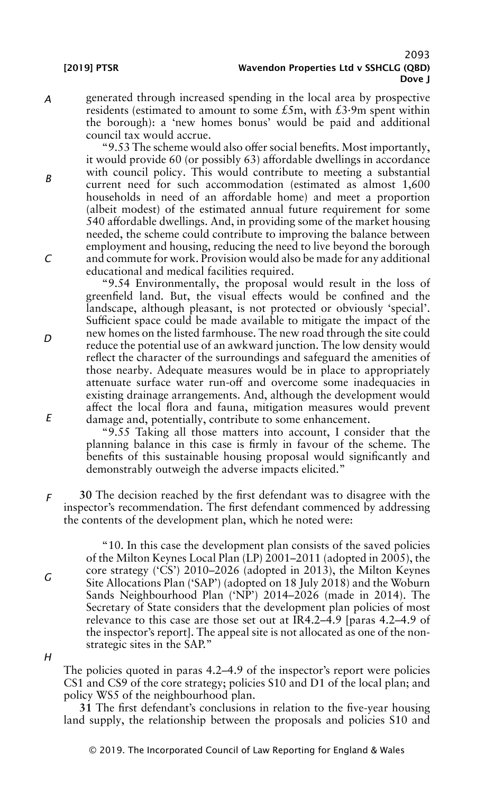*A* generated through increased spending in the local area by prospective residents (estimated to amount to some £5m, with £3·9m spent within the borough): a 'new homes bonus' would be paid and additional council tax would accrue.

"9.53 The scheme would also offer social benefits. Most importantly, it would provide 60 (or possibly 63) affordable dwellings in accordance with council policy. This would contribute to meeting a substantial current need for such accommodation (estimated as almost 1,600 households in need of an affordable home) and meet a proportion (albeit modest) of the estimated annual future requirement for some 540 affordable dwellings. And, in providing some of the market housing needed, the scheme could contribute to improving the balance between employment and housing, reducing the need to live beyond the borough and commute for work. Provision would also be made for any additional educational and medical facilities required.

"9.54 Environmentally, the proposal would result in the loss of greenfield land. But, the visual effects would be confined and the landscape, although pleasant, is not protected or obviously 'special'. Sufficient space could be made available to mitigate the impact of the new homes on the listed farmhouse. The new road through the site could reduce the potential use of an awkward junction. The low density would reflect the character of the surroundings and safeguard the amenities of those nearby. Adequate measures would be in place to appropriately attenuate surface water run-off and overcome some inadequacies in existing drainage arrangements. And, although the development would affect the local flora and fauna, mitigation measures would prevent damage and, potentially, contribute to some enhancement.

"9.55 Taking all those matters into account, I consider that the planning balance in this case is firmly in favour of the scheme. The benefits of this sustainable housing proposal would significantly and demonstrably outweigh the adverse impacts elicited."

*F* **30** The decision reached by the first defendant was to disagree with the inspector's recommendation. The first defendant commenced by addressing the contents of the development plan, which he noted were:

"10. In this case the development plan consists of the saved policies of the Milton Keynes Local Plan (LP) 2001–2011 (adopted in 2005), the core strategy ('CS') 2010–2026 (adopted in 2013), the Milton Keynes Site Allocations Plan ('SAP') (adopted on 18 July 2018) and the Woburn Sands Neighbourhood Plan ('NP') 2014–2026 (made in 2014). The Secretary of State considers that the development plan policies of most relevance to this case are those set out at IR4.2–4.9 [paras 4.2–4.9 of the inspector's report]. The appeal site is not allocated as one of the nonstrategic sites in the SAP."

*H*

*G*

The policies quoted in paras 4.2–4.9 of the inspector's report were policies CS1 and CS9 of the core strategy; policies S10 and D1 of the local plan; and policy WS5 of the neighbourhood plan.

**31** The first defendant's conclusions in relation to the five-year housing land supply, the relationship between the proposals and policies S10 and

*E*

*B*

*C*

*D*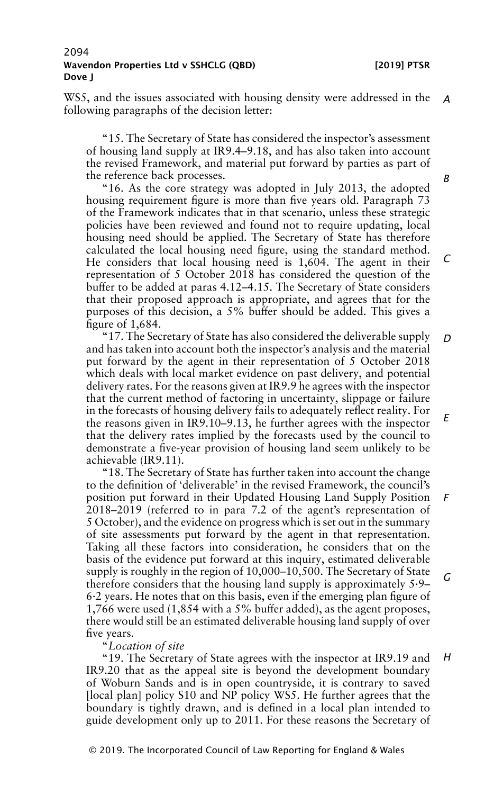WS5, and the issues associated with housing density were addressed in the *A* following paragraphs of the decision letter:

"15. The Secretary of State has considered the inspector's assessment of housing land supply at IR9.4–9.18, and has also taken into account the revised Framework, and material put forward by parties as part of the reference back processes.

"16. As the core strategy was adopted in July 2013, the adopted housing requirement figure is more than five years old. Paragraph 73 of the Framework indicates that in that scenario, unless these strategic policies have been reviewed and found not to require updating, local housing need should be applied. The Secretary of State has therefore calculated the local housing need figure, using the standard method. He considers that local housing need is 1,604. The agent in their representation of 5 October 2018 has considered the question of the buffer to be added at paras 4.12–4.15. The Secretary of State considers that their proposed approach is appropriate, and agrees that for the purposes of this decision, a 5% buffer should be added. This gives a figure of 1,684.

"17. The Secretary of State has also considered the deliverable supply and has taken into account both the inspector's analysis and the material put forward by the agent in their representation of 5 October 2018 which deals with local market evidence on past delivery, and potential delivery rates. For the reasons given at IR9.9 he agrees with the inspector that the current method of factoring in uncertainty, slippage or failure in the forecasts of housing delivery fails to adequately reflect reality. For the reasons given in IR9.10–9.13, he further agrees with the inspector that the delivery rates implied by the forecasts used by the council to demonstrate a five-year provision of housing land seem unlikely to be achievable (IR9.11). *D E*

"18. The Secretary of State has further taken into account the change to the definition of 'deliverable' in the revised Framework, the council's position put forward in their Updated Housing Land Supply Position 2018–2019 (referred to in para 7.2 of the agent's representation of 5 October), and the evidence on progress which is set out in the summary of site assessments put forward by the agent in that representation. Taking all these factors into consideration, he considers that on the basis of the evidence put forward at this inquiry, estimated deliverable supply is roughly in the region of 10,000–10,500. The Secretary of State therefore considers that the housing land supply is approximately 5·9– 6·2 years. He notes that on this basis, even if the emerging plan figure of 1,766 were used (1,854 with a 5% buffer added), as the agent proposes, there would still be an estimated deliverable housing land supply of over five years. *F G*

# "*Location of site*

"19. The Secretary of State agrees with the inspector at IR9.19 and IR9.20 that as the appeal site is beyond the development boundary of Woburn Sands and is in open countryside, it is contrary to saved [local plan] policy S10 and NP policy WS5. He further agrees that the boundary is tightly drawn, and is defined in a local plan intended to guide development only up to 2011. For these reasons the Secretary of *H*

#### *B*

*C*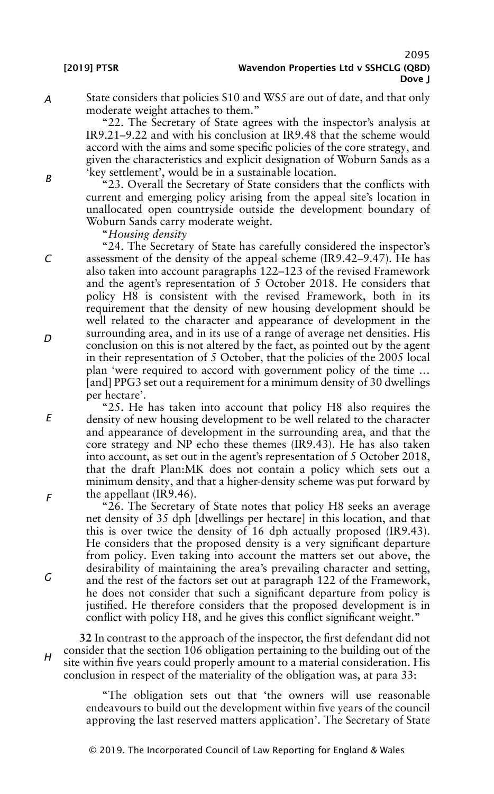*A*

*B*

*C*

State considers that policies S10 and WS5 are out of date, and that only moderate weight attaches to them."

"22. The Secretary of State agrees with the inspector's analysis at IR9.21–9.22 and with his conclusion at IR9.48 that the scheme would accord with the aims and some specific policies of the core strategy, and given the characteristics and explicit designation of Woburn Sands as a 'key settlement', would be in a sustainable location.

"23. Overall the Secretary of State considers that the conflicts with current and emerging policy arising from the appeal site's location in unallocated open countryside outside the development boundary of Woburn Sands carry moderate weight.

"*Housing density*

"24. The Secretary of State has carefully considered the inspector's assessment of the density of the appeal scheme (IR9.42–9.47). He has also taken into account paragraphs 122–123 of the revised Framework and the agent's representation of 5 October 2018. He considers that policy H8 is consistent with the revised Framework, both in its requirement that the density of new housing development should be well related to the character and appearance of development in the surrounding area, and in its use of a range of average net densities. His conclusion on this is not altered by the fact, as pointed out by the agent in their representation of 5 October, that the policies of the 2005 local plan 'were required to accord with government policy of the time … [and] PPG3 set out a requirement for a minimum density of 30 dwellings per hectare'.

"25. He has taken into account that policy H8 also requires the density of new housing development to be well related to the character and appearance of development in the surrounding area, and that the core strategy and NP echo these themes (IR9.43). He has also taken into account, as set out in the agent's representation of 5 October 2018, that the draft Plan:MK does not contain a policy which sets out a minimum density, and that a higher-density scheme was put forward by the appellant (IR9.46).

" $2\overline{6}$ . The Secretary of State notes that policy H8 seeks an average net density of 35 dph [dwellings per hectare] in this location, and that this is over twice the density of 16 dph actually proposed (IR9.43). He considers that the proposed density is a very significant departure from policy. Even taking into account the matters set out above, the desirability of maintaining the area's prevailing character and setting, and the rest of the factors set out at paragraph 122 of the Framework, he does not consider that such a significant departure from policy is justified. He therefore considers that the proposed development is in conflict with policy H8, and he gives this conflict significant weight."

*H* **32** In contrast to the approach of the inspector, the first defendant did not consider that the section 106 obligation pertaining to the building out of the site within five years could properly amount to a material consideration. His conclusion in respect of the materiality of the obligation was, at para 33:

> "The obligation sets out that 'the owners will use reasonable endeavours to build out the development within five years of the council approving the last reserved matters application'. The Secretary of State

*D*

*E*

*F*

*G*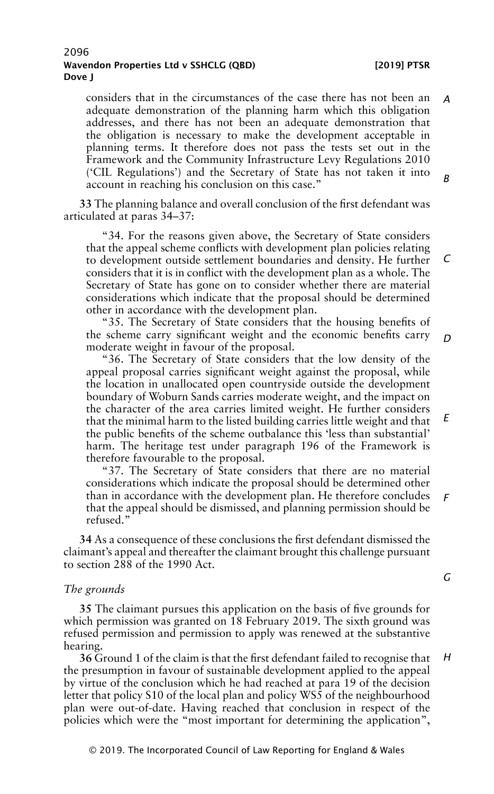planning terms. It therefore does not pass the tests set out in the Framework and the Community Infrastructure Levy Regulations 2010 ('CIL Regulations') and the Secretary of State has not taken it into account in reaching his conclusion on this case." *B*

**33** The planning balance and overall conclusion of the first defendant was articulated at paras 34–37:

"34. For the reasons given above, the Secretary of State considers that the appeal scheme conflicts with development plan policies relating to development outside settlement boundaries and density. He further considers that it is in conflict with the development plan as a whole. The Secretary of State has gone on to consider whether there are material considerations which indicate that the proposal should be determined other in accordance with the development plan. *C*

"35. The Secretary of State considers that the housing benefits of the scheme carry significant weight and the economic benefits carry moderate weight in favour of the proposal.

"36. The Secretary of State considers that the low density of the appeal proposal carries significant weight against the proposal, while the location in unallocated open countryside outside the development boundary of Woburn Sands carries moderate weight, and the impact on the character of the area carries limited weight. He further considers that the minimal harm to the listed building carries little weight and that the public benefits of the scheme outbalance this 'less than substantial' harm. The heritage test under paragraph 196 of the Framework is therefore favourable to the proposal. *E*

"37. The Secretary of State considers that there are no material considerations which indicate the proposal should be determined other than in accordance with the development plan. He therefore concludes that the appeal should be dismissed, and planning permission should be refused." *F*

**34** As a consequence of these conclusions the first defendant dismissed the claimant's appeal and thereafter the claimant brought this challenge pursuant to section 288 of the 1990 Act.

#### *The grounds*

**35** The claimant pursues this application on the basis of five grounds for which permission was granted on 18 February 2019. The sixth ground was refused permission and permission to apply was renewed at the substantive hearing.

**36** Ground 1 of the claim is that the first defendant failed to recognise that the presumption in favour of sustainable development applied to the appeal by virtue of the conclusion which he had reached at para 19 of the decision letter that policy S10 of the local plan and policy WS5 of the neighbourhood plan were out-of-date. Having reached that conclusion in respect of the policies which were the "most important for determining the application", *H*

# *G*

*D*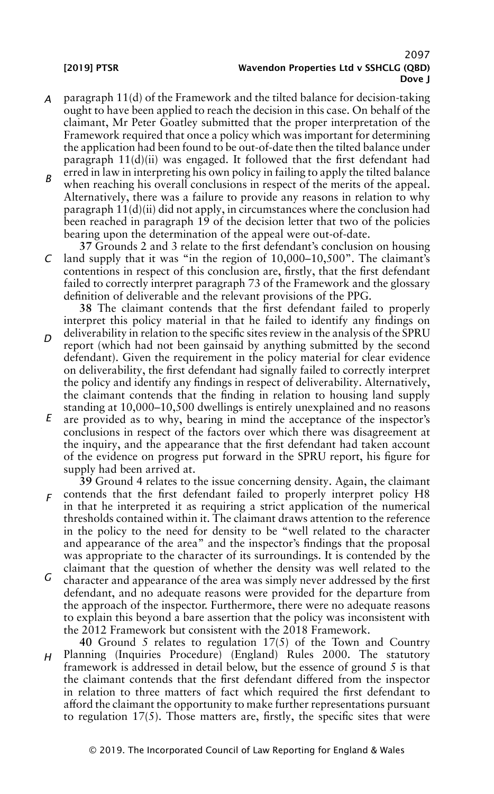- *A* paragraph 11(d) of the Framework and the tilted balance for decision-taking ought to have been applied to reach the decision in this case. On behalf of the claimant, Mr Peter Goatley submitted that the proper interpretation of the Framework required that once a policy which was important for determining the application had been found to be out-of-date then the tilted balance under paragraph 11(d)(ii) was engaged. It followed that the first defendant had erred in law in interpreting his own policy in failing to apply the tilted balance
- *B* when reaching his overall conclusions in respect of the merits of the appeal. Alternatively, there was a failure to provide any reasons in relation to why paragraph 11(d)(ii) did not apply, in circumstances where the conclusion had been reached in paragraph 19 of the decision letter that two of the policies bearing upon the determination of the appeal were out-of-date.

 $\mathcal{C}$ **37** Grounds 2 and 3 relate to the first defendant's conclusion on housing land supply that it was "in the region of 10,000–10,500". The claimant's contentions in respect of this conclusion are, firstly, that the first defendant failed to correctly interpret paragraph 73 of the Framework and the glossary definition of deliverable and the relevant provisions of the PPG.

**38** The claimant contends that the first defendant failed to properly interpret this policy material in that he failed to identify any findings on

- *D* deliverability in relation to the specific sites review in the analysis of the SPRU report (which had not been gainsaid by anything submitted by the second defendant). Given the requirement in the policy material for clear evidence on deliverability, the first defendant had signally failed to correctly interpret the policy and identify any findings in respect of deliverability. Alternatively, the claimant contends that the finding in relation to housing land supply standing at 10,000–10,500 dwellings is entirely unexplained and no reasons
- *E* are provided as to why, bearing in mind the acceptance of the inspector's conclusions in respect of the factors over which there was disagreement at the inquiry, and the appearance that the first defendant had taken account of the evidence on progress put forward in the SPRU report, his figure for supply had been arrived at.

*F* contends that the first defendant failed to properly interpret policy H8 **39** Ground 4 relates to the issue concerning density. Again, the claimant in that he interpreted it as requiring a strict application of the numerical thresholds contained within it. The claimant draws attention to the reference in the policy to the need for density to be "well related to the character and appearance of the area" and the inspector's findings that the proposal was appropriate to the character of its surroundings. It is contended by the claimant that the question of whether the density was well related to the

- *G* character and appearance of the area was simply never addressed by the first defendant, and no adequate reasons were provided for the departure from the approach of the inspector. Furthermore, there were no adequate reasons to explain this beyond a bare assertion that the policy was inconsistent with the 2012 Framework but consistent with the 2018 Framework.
- *H* **40** Ground 5 relates to regulation 17(5) of the Town and Country Planning (Inquiries Procedure) (England) Rules 2000. The statutory framework is addressed in detail below, but the essence of ground 5 is that the claimant contends that the first defendant differed from the inspector in relation to three matters of fact which required the first defendant to afford the claimant the opportunity to make further representations pursuant to regulation 17(5). Those matters are, firstly, the specific sites that were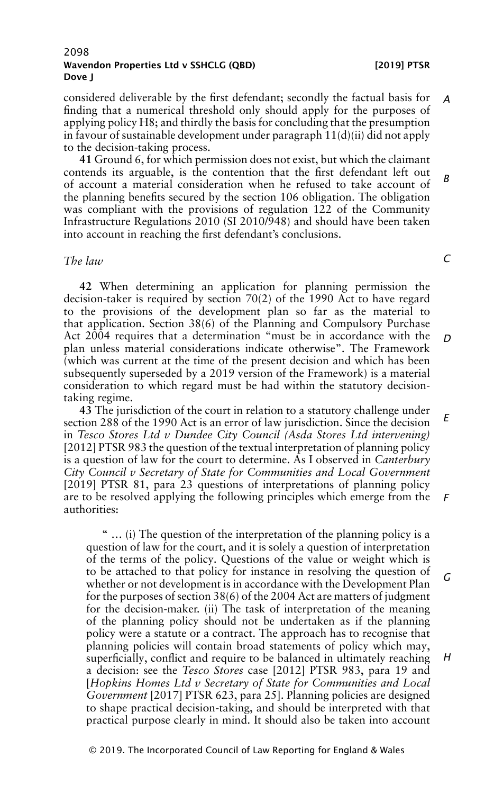considered deliverable by the first defendant; secondly the factual basis for finding that a numerical threshold only should apply for the purposes of applying policy H8; and thirdly the basis for concluding that the presumption in favour of sustainable development under paragraph 11(d)(ii) did not apply to the decision-taking process. *A*

**41** Ground 6, for which permission does not exist, but which the claimant contends its arguable, is the contention that the first defendant left out of account a material consideration when he refused to take account of the planning benefits secured by the section 106 obligation. The obligation was compliant with the provisions of regulation 122 of the Community Infrastructure Regulations 2010 (SI 2010/948) and should have been taken into account in reaching the first defendant's conclusions. *B*

### *The law*

**42** When determining an application for planning permission the decision-taker is required by section 70(2) of the 1990 Act to have regard to the provisions of the development plan so far as the material to that application. Section 38(6) of the Planning and Compulsory Purchase Act 2004 requires that a determination "must be in accordance with the plan unless material considerations indicate otherwise". The Framework (which was current at the time of the present decision and which has been subsequently superseded by a 2019 version of the Framework) is a material consideration to which regard must be had within the statutory decisiontaking regime. *D*

**43** The jurisdiction of the court in relation to a statutory challenge under section 288 of the 1990 Act is an error of law jurisdiction. Since the decision in *Tesco Stores Ltd v Dundee City Council (Asda Stores Ltd intervening)* [2012] PTSR 983 the question of the textual interpretation of planning policy is a question of law for the court to determine. As I observed in *Canterbury City Council v Secretary of State for Communities and Local Government* [2019] PTSR 81, para 23 questions of interpretations of planning policy are to be resolved applying the following principles which emerge from the authorities: *E F*

" … (i) The question of the interpretation of the planning policy is a question of law for the court, and it is solely a question of interpretation of the terms of the policy. Questions of the value or weight which is to be attached to that policy for instance in resolving the question of whether or not development is in accordance with the Development Plan for the purposes of section 38(6) of the 2004 Act are matters of judgment for the decision-maker. (ii) The task of interpretation of the meaning of the planning policy should not be undertaken as if the planning policy were a statute or a contract. The approach has to recognise that planning policies will contain broad statements of policy which may, superficially, conflict and require to be balanced in ultimately reaching a decision: see the *Tesco Stores* case [2012] PTSR 983, para 19 and [*Hopkins Homes Ltd v Secretary of State for Communities and Local Government* [2017] PTSR 623, para 25]. Planning policies are designed to shape practical decision-taking, and should be interpreted with that practical purpose clearly in mind. It should also be taken into account *G H*

*C*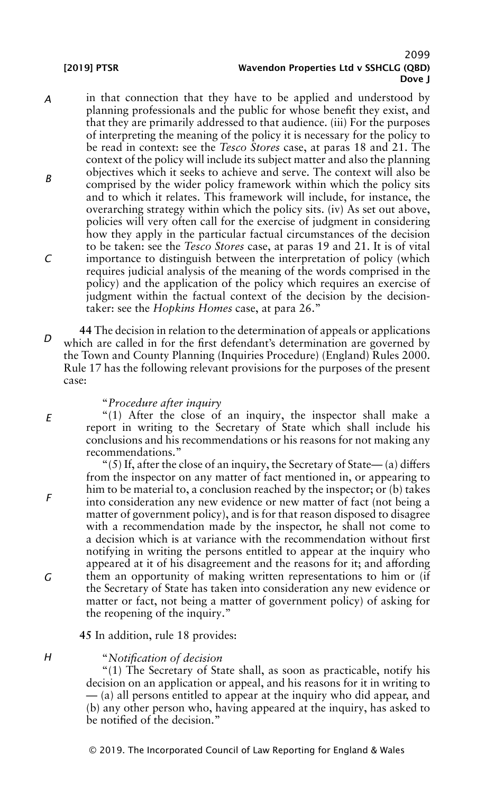*E*

*F*

*G*

*H*

### 2099 [2019] PTSR Wavendon Properties Ltd v SSHCLG (QBD) Dove J

- *A B C* in that connection that they have to be applied and understood by planning professionals and the public for whose benefit they exist, and that they are primarily addressed to that audience. (iii) For the purposes of interpreting the meaning of the policy it is necessary for the policy to be read in context: see the *Tesco Stores* case, at paras 18 and 21. The context of the policy will include its subject matter and also the planning objectives which it seeks to achieve and serve. The context will also be comprised by the wider policy framework within which the policy sits and to which it relates. This framework will include, for instance, the overarching strategy within which the policy sits. (iv) As set out above, policies will very often call for the exercise of judgment in considering how they apply in the particular factual circumstances of the decision to be taken: see the *Tesco Stores* case, at paras 19 and 21. It is of vital importance to distinguish between the interpretation of policy (which requires judicial analysis of the meaning of the words comprised in the policy) and the application of the policy which requires an exercise of judgment within the factual context of the decision by the decisiontaker: see the *Hopkins Homes* case, at para 26."
- *D* **44** The decision in relation to the determination of appeals or applications which are called in for the first defendant's determination are governed by the Town and County Planning (Inquiries Procedure) (England) Rules 2000. Rule 17 has the following relevant provisions for the purposes of the present case:

#### "*Procedure after inquiry*

"(1) After the close of an inquiry, the inspector shall make a report in writing to the Secretary of State which shall include his conclusions and his recommendations or his reasons for not making any recommendations."

"(5) If, after the close of an inquiry, the Secretary of State—(a) differs from the inspector on any matter of fact mentioned in, or appearing to him to be material to, a conclusion reached by the inspector; or (b) takes into consideration any new evidence or new matter of fact (not being a matter of government policy), and is for that reason disposed to disagree with a recommendation made by the inspector, he shall not come to a decision which is at variance with the recommendation without first notifying in writing the persons entitled to appear at the inquiry who appeared at it of his disagreement and the reasons for it; and affording them an opportunity of making written representations to him or (if the Secretary of State has taken into consideration any new evidence or matter or fact, not being a matter of government policy) of asking for the reopening of the inquiry."

**45** In addition, rule 18 provides:

### "*Notification of decision*

"(1) The Secretary of State shall, as soon as practicable, notify his decision on an application or appeal, and his reasons for it in writing to — (a) all persons entitled to appear at the inquiry who did appear, and (b) any other person who, having appeared at the inquiry, has asked to be notified of the decision."

© 2019. The Incorporated Council of Law Reporting for England & Wales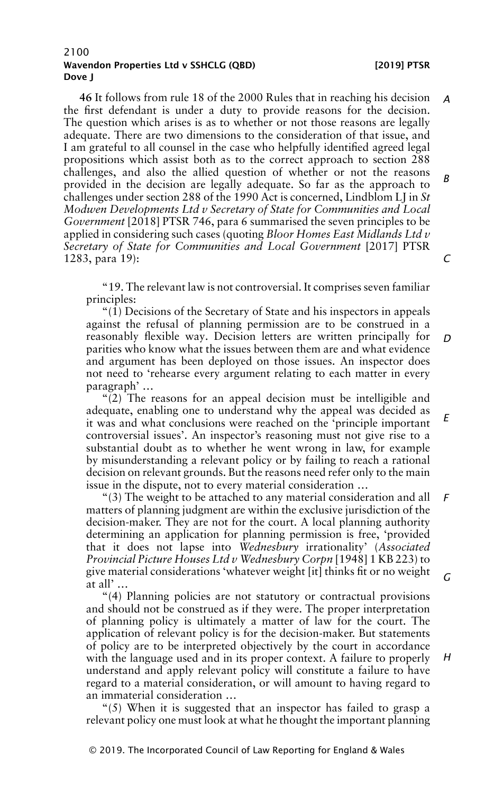**46** It follows from rule 18 of the 2000 Rules that in reaching his decision the first defendant is under a duty to provide reasons for the decision. The question which arises is as to whether or not those reasons are legally adequate. There are two dimensions to the consideration of that issue, and I am grateful to all counsel in the case who helpfully identified agreed legal propositions which assist both as to the correct approach to section 288 challenges, and also the allied question of whether or not the reasons provided in the decision are legally adequate. So far as the approach to challenges under section 288 of the 1990 Act is concerned, Lindblom LJ in *St Modwen Developments Ltd v Secretary of State for Communities and Local Government* [2018] PTSR 746, para 6 summarised the seven principles to be applied in considering such cases (quoting *Bloor Homes East Midlands Ltd v Secretary of State for Communities and Local Government* [2017] PTSR 1283, para 19): *A B C*

"19. The relevant law is not controversial. It comprises seven familiar principles:

" $(1)$  Decisions of the Secretary of State and his inspectors in appeals against the refusal of planning permission are to be construed in a reasonably flexible way. Decision letters are written principally for parities who know what the issues between them are and what evidence and argument has been deployed on those issues. An inspector does not need to 'rehearse every argument relating to each matter in every paragraph' … *D*

"(2) The reasons for an appeal decision must be intelligible and adequate, enabling one to understand why the appeal was decided as it was and what conclusions were reached on the 'principle important controversial issues'. An inspector's reasoning must not give rise to a substantial doubt as to whether he went wrong in law, for example by misunderstanding a relevant policy or by failing to reach a rational decision on relevant grounds. But the reasons need refer only to the main issue in the dispute, not to every material consideration … *E*

"(3) The weight to be attached to any material consideration and all matters of planning judgment are within the exclusive jurisdiction of the decision-maker. They are not for the court. A local planning authority determining an application for planning permission is free, 'provided that it does not lapse into *Wednesbury* irrationality' (*Associated Provincial Picture Houses Ltd v Wednesbury Corpn* [1948] 1 KB 223) to give material considerations 'whatever weight [it] thinks fit or no weight at all' … *F G*

"(4) Planning policies are not statutory or contractual provisions and should not be construed as if they were. The proper interpretation of planning policy is ultimately a matter of law for the court. The application of relevant policy is for the decision-maker. But statements of policy are to be interpreted objectively by the court in accordance with the language used and in its proper context. A failure to properly understand and apply relevant policy will constitute a failure to have regard to a material consideration, or will amount to having regard to an immaterial consideration …

"(5) When it is suggested that an inspector has failed to grasp a relevant policy one must look at what he thought the important planning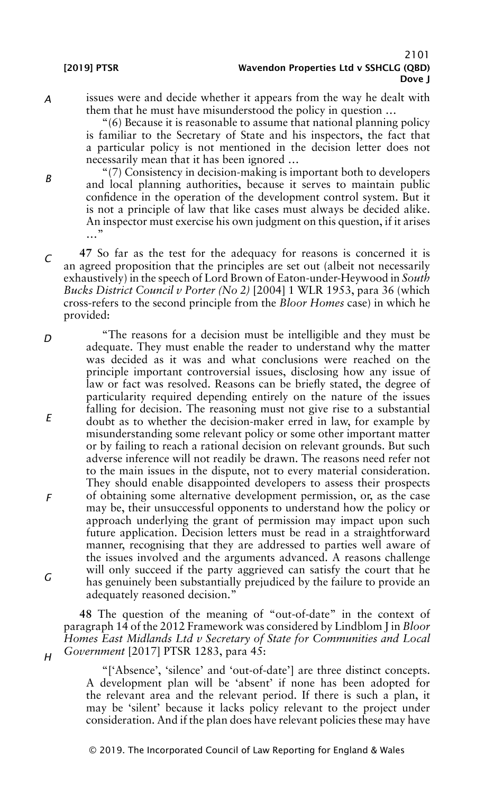*B*

*H*

*A* issues were and decide whether it appears from the way he dealt with them that he must have misunderstood the policy in question …

"(6) Because it is reasonable to assume that national planning policy is familiar to the Secretary of State and his inspectors, the fact that a particular policy is not mentioned in the decision letter does not necessarily mean that it has been ignored …

- "(7) Consistency in decision-making is important both to developers and local planning authorities, because it serves to maintain public confidence in the operation of the development control system. But it is not a principle of law that like cases must always be decided alike. An inspector must exercise his own judgment on this question, if it arises …"
- *C* **47** So far as the test for the adequacy for reasons is concerned it is an agreed proposition that the principles are set out (albeit not necessarily exhaustively) inthe speechof Lord Brownof Eaton-under-Heywoodin*South Bucks District Council v Porter (No 2)* [2004] 1 WLR 1953, para 36 (which cross-refers to the second principle from the *Bloor Homes* case) in which he provided:
- *D E F G* "The reasons for a decision must be intelligible and they must be adequate. They must enable the reader to understand why the matter was decided as it was and what conclusions were reached on the principle important controversial issues, disclosing how any issue of law or fact was resolved. Reasons can be briefly stated, the degree of particularity required depending entirely on the nature of the issues falling for decision. The reasoning must not give rise to a substantial doubt as to whether the decision-maker erred in law, for example by misunderstanding some relevant policy or some other important matter or by failing to reach a rational decision on relevant grounds. But such adverse inference will not readily be drawn. The reasons need refer not to the main issues in the dispute, not to every material consideration. They should enable disappointed developers to assess their prospects of obtaining some alternative development permission, or, as the case may be, their unsuccessful opponents to understand how the policy or approach underlying the grant of permission may impact upon such future application. Decision letters must be read in a straightforward manner, recognising that they are addressed to parties well aware of the issues involved and the arguments advanced. A reasons challenge will only succeed if the party aggrieved can satisfy the court that he has genuinely been substantially prejudiced by the failure to provide an adequately reasoned decision."

**48** The question of the meaning of "out-of-date" in the context of paragraph 14 of the 2012 Framework was considered by Lindblom J in *Bloor Homes East Midlands Ltd v Secretary of State for Communities and Local Government* [2017] PTSR 1283, para 45:

"['Absence', 'silence' and 'out-of-date'] are three distinct concepts. A development plan will be 'absent' if none has been adopted for the relevant area and the relevant period. If there is such a plan, it may be 'silent' because it lacks policy relevant to the project under consideration. And if the plan does have relevant policies these may have

© 2019. The Incorporated Council of Law Reporting for England & Wales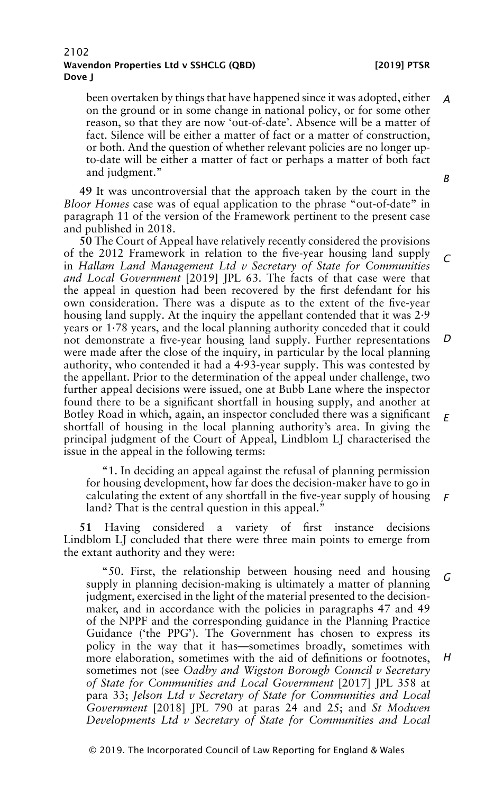been overtaken by things that have happened since it was adopted, either on the ground or in some change in national policy, or for some other reason, so that they are now 'out-of-date'. Absence will be a matter of fact. Silence will be either a matter of fact or a matter of construction, or both. And the question of whether relevant policies are no longer upto-date will be either a matter of fact or perhaps a matter of both fact and judgment." *A*

**49** It was uncontroversial that the approach taken by the court in the *Bloor Homes* case was of equal application to the phrase "out-of-date" in paragraph 11 of the version of the Framework pertinent to the present case and published in 2018.

**50** The Court of Appeal have relatively recently considered the provisions of the 2012 Framework in relation to the five-year housing land supply in *Hallam Land Management Ltd v Secretary of State for Communities and Local Government* [2019] JPL 63. The facts of that case were that the appeal in question had been recovered by the first defendant for his own consideration. There was a dispute as to the extent of the five-year housing land supply. At the inquiry the appellant contended that it was 2·9 years or 1·78 years, and the local planning authority conceded that it could not demonstrate a five-year housing land supply. Further representations were made after the close of the inquiry, in particular by the local planning authority, who contended it had a 4·93-year supply. This was contested by the appellant. Prior to the determination of the appeal under challenge, two further appeal decisions were issued, one at Bubb Lane where the inspector found there to be a significant shortfall in housing supply, and another at Botley Road in which, again, an inspector concluded there was a significant shortfall of housing in the local planning authority's area. In giving the principal judgment of the Court of Appeal, Lindblom LJ characterised the issue in the appeal in the following terms: *C D E*

"1. In deciding an appeal against the refusal of planning permission for housing development, how far does the decision-maker have to go in calculating the extent of any shortfall in the five-year supply of housing land? That is the central question in this appeal." *F*

**51** Having considered a variety of first instance decisions Lindblom LJ concluded that there were three main points to emerge from the extant authority and they were:

"50. First, the relationship between housing need and housing supply in planning decision-making is ultimately a matter of planning judgment, exercised in the light of the material presented to the decisionmaker, and in accordance with the policies in paragraphs 47 and 49 of the NPPF and the corresponding guidance in the Planning Practice Guidance ('the PPG'). The Government has chosen to express its policy in the way that it has—sometimes broadly, sometimes with more elaboration, sometimes with the aid of definitions or footnotes, sometimes not (see *Oadby and Wigston Borough Council v Secretary of State for Communities and Local Government* [2017] JPL 358 at para 33; *Jelson Ltd v Secretary of State for Communities and Local Government* [2018] JPL 790 at paras 24 and 25; and *St Modwen Developments Ltd v Secretary of State for Communities and Local G H*

© 2019. The Incorporated Council of Law Reporting for England & Wales

*B*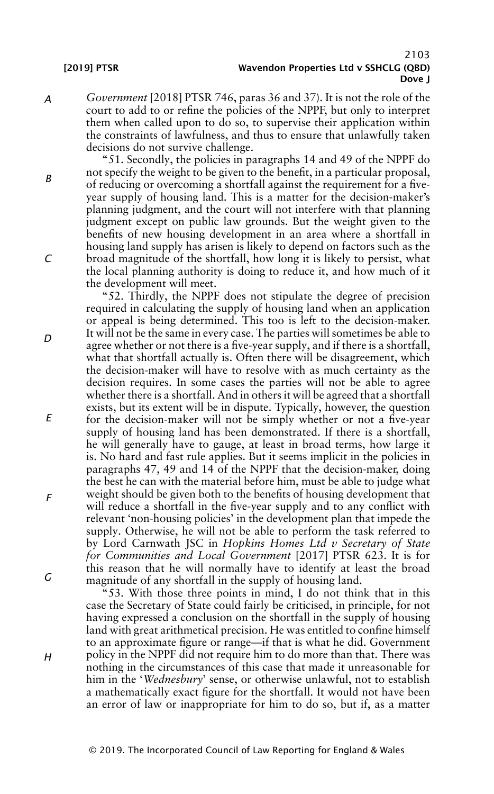*A Government* [2018] PTSR 746, paras 36 and 37). It is not the role of the court to add to or refine the policies of the NPPF, but only to interpret them when called upon to do so, to supervise their application within the constraints of lawfulness, and thus to ensure that unlawfully taken decisions do not survive challenge.

"51. Secondly, the policies in paragraphs 14 and 49 of the NPPF do not specify the weight to be given to the benefit, in a particular proposal, of reducing or overcoming a shortfall against the requirement for a fiveyear supply of housing land. This is a matter for the decision-maker's planning judgment, and the court will not interfere with that planning judgment except on public law grounds. But the weight given to the benefits of new housing development in an area where a shortfall in housing land supply has arisen is likely to depend on factors such as the broad magnitude of the shortfall, how long it is likely to persist, what the local planning authority is doing to reduce it, and how much of it the development will meet.

"52. Thirdly, the NPPF does not stipulate the degree of precision required in calculating the supply of housing land when an application or appeal is being determined. This too is left to the decision-maker. It will not be the same in every case. The parties will sometimes be able to agree whether or not there is a five-year supply, and if there is a shortfall, what that shortfall actually is. Often there will be disagreement, which the decision-maker will have to resolve with as much certainty as the decision requires. In some cases the parties will not be able to agree whether there is a shortfall. And in others it will be agreed that a shortfall exists, but its extent will be in dispute. Typically, however, the question for the decision-maker will not be simply whether or not a five-year supply of housing land has been demonstrated. If there is a shortfall, he will generally have to gauge, at least in broad terms, how large it is. No hard and fast rule applies. But it seems implicit in the policies in paragraphs 47, 49 and 14 of the NPPF that the decision-maker, doing the best he can with the material before him, must be able to judge what weight should be given both to the benefits of housing development that will reduce a shortfall in the five-year supply and to any conflict with relevant 'non-housing policies' in the development plan that impede the supply. Otherwise, he will not be able to perform the task referred to by Lord Carnwath JSC in *Hopkins Homes Ltd v Secretary of State for Communities and Local Government* [2017] PTSR 623. It is for this reason that he will normally have to identify at least the broad magnitude of any shortfall in the supply of housing land.

"53. With those three points in mind, I do not think that in this case the Secretary of State could fairly be criticised, in principle, for not having expressed a conclusion on the shortfall in the supply of housing land with great arithmetical precision. He was entitled to confine himself to an approximate figure or range—if that is what he did. Government policy in the NPPF did not require him to do more than that. There was nothing in the circumstances of this case that made it unreasonable for him in the '*Wednesbury*' sense, or otherwise unlawful, not to establish a mathematically exact figure for the shortfall. It would not have been an error of law or inappropriate for him to do so, but if, as a matter

*D*

*B*

*F*

*E*

*H*

*G*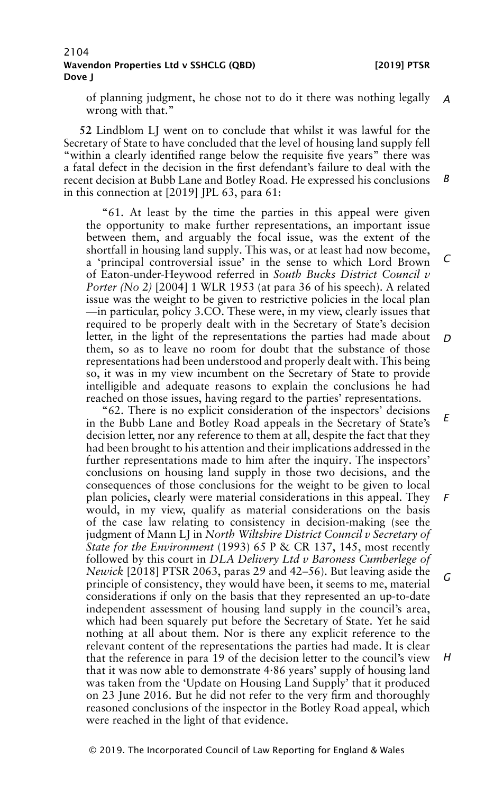of planning judgment, he chose not to do it there was nothing legally *A* wrong with that."

**52** Lindblom LJ went on to conclude that whilst it was lawful for the Secretary of State to have concluded that the level of housing land supply fell "within a clearly identified range below the requisite five years" there was a fatal defect in the decision in the first defendant's failure to deal with the recent decision at Bubb Lane and Botley Road. He expressed his conclusions in this connection at [2019] JPL 63, para 61: *B*

"61. At least by the time the parties in this appeal were given the opportunity to make further representations, an important issue between them, and arguably the focal issue, was the extent of the shortfall in housing land supply. This was, or at least had now become, a 'principal controversial issue' in the sense to which Lord Brown of Eaton-under-Heywood referred in *South Bucks District Council v Porter (No 2)* [2004] 1 WLR 1953 (at para 36 of his speech). A related issue was the weight to be given to restrictive policies in the local plan —in particular, policy 3.CO. These were, in my view, clearly issues that required to be properly dealt with in the Secretary of State's decision letter, in the light of the representations the parties had made about them, so as to leave no room for doubt that the substance of those representations had been understood and properly dealt with. This being so, it was in my view incumbent on the Secretary of State to provide intelligible and adequate reasons to explain the conclusions he had reached on those issues, having regard to the parties' representations. *C D*

"62. There is no explicit consideration of the inspectors' decisions in the Bubb Lane and Botley Road appeals in the Secretary of State's decision letter, nor any reference to them at all, despite the fact that they had been brought to his attention and their implications addressed in the further representations made to him after the inquiry. The inspectors' conclusions on housing land supply in those two decisions, and the consequences of those conclusions for the weight to be given to local plan policies, clearly were material considerations in this appeal. They would, in my view, qualify as material considerations on the basis of the case law relating to consistency in decision-making (see the judgment of Mann LJ in *North Wiltshire District Council v Secretary of State for the Environment* (1993) 65 P & CR 137, 145, most recently followed by this court in *DLA Delivery Ltd v Baroness Cumberlege of Newick* [2018] PTSR 2063, paras 29 and 42–56). But leaving aside the principle of consistency, they would have been, it seems to me, material considerations if only on the basis that they represented an up-to-date independent assessment of housing land supply in the council's area, which had been squarely put before the Secretary of State. Yet he said nothing at all about them. Nor is there any explicit reference to the relevant content of the representations the parties had made. It is clear that the reference in para 19 of the decision letter to the council's view that it was now able to demonstrate 4·86 years' supply of housing land was taken from the 'Update on Housing Land Supply' that it produced on 23 June 2016. But he did not refer to the very firm and thoroughly reasoned conclusions of the inspector in the Botley Road appeal, which were reached in the light of that evidence. *E F G H*

© 2019. The Incorporated Council of Law Reporting for England & Wales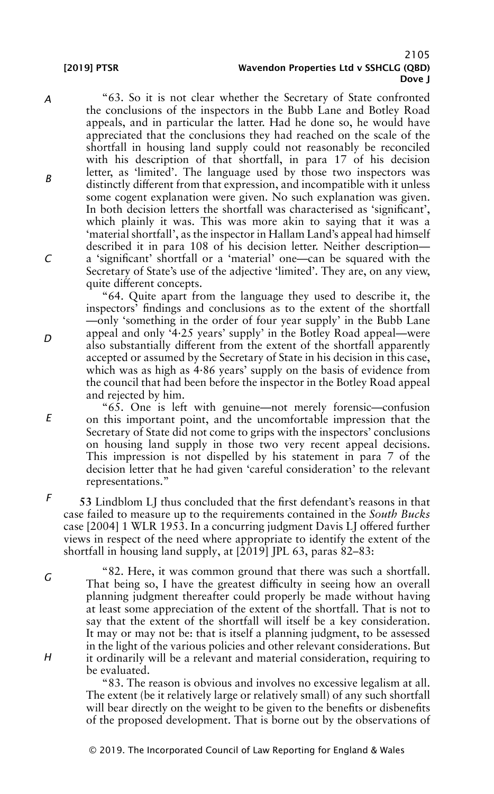*A*

*B*

*C*

*D*

### 2105 [2019] PTSR Wavendon Properties Ltd v SSHCLG (QBD) Dove J

"63. So it is not clear whether the Secretary of State confronted the conclusions of the inspectors in the Bubb Lane and Botley Road appeals, and in particular the latter. Had he done so, he would have appreciated that the conclusions they had reached on the scale of the shortfall in housing land supply could not reasonably be reconciled with his description of that shortfall, in para 17 of his decision letter, as 'limited'. The language used by those two inspectors was distinctly different from that expression, and incompatible with it unless some cogent explanation were given. No such explanation was given. In both decision letters the shortfall was characterised as 'significant', which plainly it was. This was more akin to saying that it was a 'material shortfall', as the inspector in Hallam Land's appeal had himself described it in para 108 of his decision letter. Neither description a 'significant' shortfall or a 'material' one—can be squared with the Secretary of State's use of the adjective 'limited'. They are, on any view, quite different concepts.

"64. Quite apart from the language they used to describe it, the inspectors' findings and conclusions as to the extent of the shortfall —only 'something in the order of four year supply' in the Bubb Lane appeal and only '4·25 years' supply' in the Botley Road appeal—were also substantially different from the extent of the shortfall apparently accepted or assumed by the Secretary of State in his decision in this case, which was as high as 4·86 years' supply on the basis of evidence from the council that had been before the inspector in the Botley Road appeal and rejected by him.

"65. One is left with genuine—not merely forensic—confusion on this important point, and the uncomfortable impression that the Secretary of State did not come to grips with the inspectors' conclusions on housing land supply in those two very recent appeal decisions. This impression is not dispelled by his statement in para 7 of the decision letter that he had given 'careful consideration' to the relevant representations."

**53** Lindblom LJ thus concluded that the first defendant's reasons in that case failed to measure up to the requirements contained in the *South Bucks* case [2004] 1 WLR 1953. In a concurring judgment Davis LJ offered further views in respect of the need where appropriate to identify the extent of the shortfall in housing land supply, at [2019] JPL 63, paras 82–83:

"82. Here, it was common ground that there was such a shortfall. That being so, I have the greatest difficulty in seeing how an overall planning judgment thereafter could properly be made without having at least some appreciation of the extent of the shortfall. That is not to say that the extent of the shortfall will itself be a key consideration. It may or may not be: that is itself a planning judgment, to be assessed in the light of the various policies and other relevant considerations. But it ordinarily will be a relevant and material consideration, requiring to be evaluated.

"83. The reason is obvious and involves no excessive legalism at all. The extent (be it relatively large or relatively small) of any such shortfall will bear directly on the weight to be given to the benefits or disbenefits of the proposed development. That is borne out by the observations of

© 2019. The Incorporated Council of Law Reporting for England & Wales

*E*

*F*

*G*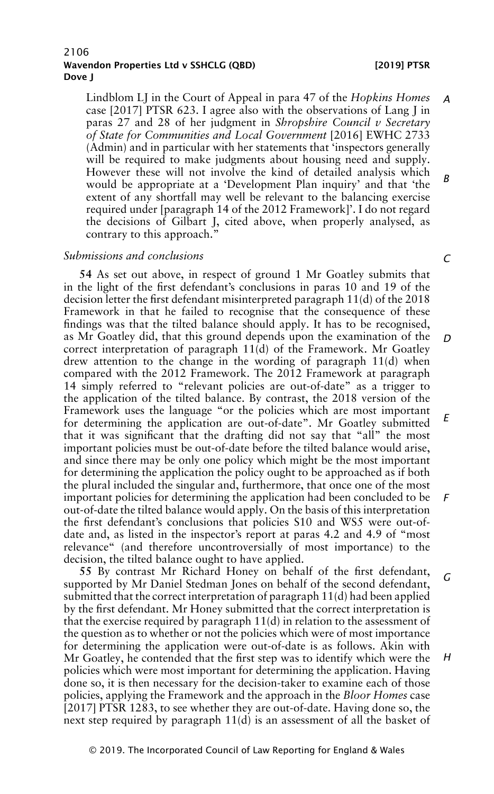Lindblom LJ in the Court of Appeal in para 47 of the *Hopkins Homes* case [2017] PTSR 623. I agree also with the observations of Lang J in paras 27 and 28 of her judgment in *Shropshire Council v Secretary of State for Communities and Local Government* [2016] EWHC 2733 (Admin) and in particular with her statements that 'inspectors generally will be required to make judgments about housing need and supply. However these will not involve the kind of detailed analysis which would be appropriate at a 'Development Plan inquiry' and that 'the extent of any shortfall may well be relevant to the balancing exercise required under [paragraph 14 of the 2012 Framework]'. I do not regard the decisions of Gilbart J, cited above, when properly analysed, as contrary to this approach." *A B*

#### *Submissions and conclusions*

**54** As set out above, in respect of ground 1 Mr Goatley submits that in the light of the first defendant's conclusions in paras 10 and 19 of the decision letter the first defendant misinterpreted paragraph 11(d) of the 2018 Framework in that he failed to recognise that the consequence of these findings was that the tilted balance should apply. It has to be recognised, as Mr Goatley did, that this ground depends upon the examination of the correct interpretation of paragraph  $11(d)$  of the Framework. Mr Goatley drew attention to the change in the wording of paragraph 11(d) when compared with the 2012 Framework. The 2012 Framework at paragraph 14 simply referred to "relevant policies are out-of-date" as a trigger to the application of the tilted balance. By contrast, the 2018 version of the Framework uses the language "or the policies which are most important for determining the application are out-of-date". Mr Goatley submitted that it was significant that the drafting did not say that "all" the most important policies must be out-of-date before the tilted balance would arise, and since there may be only one policy which might be the most important for determining the application the policy ought to be approached as if both the plural included the singular and, furthermore, that once one of the most important policies for determining the application had been concluded to be out-of-date the tilted balance would apply. On the basis of this interpretation the first defendant's conclusions that policies S10 and WS5 were out-ofdate and, as listed in the inspector's report at paras 4.2 and 4.9 of "most relevance" (and therefore uncontroversially of most importance) to the decision, the tilted balance ought to have applied. *D E F*

**55** By contrast Mr Richard Honey on behalf of the first defendant, supported by Mr Daniel Stedman Jones on behalf of the second defendant, submitted that the correct interpretation of paragraph 11(d) had been applied by the first defendant. Mr Honey submitted that the correct interpretation is that the exercise required by paragraph 11(d) in relation to the assessment of the question as to whether or not the policies which were of most importance for determining the application were out-of-date is as follows. Akin with Mr Goatley, he contended that the first step was to identify which were the policies which were most important for determining the application. Having done so, it is then necessary for the decision-taker to examine each of those policies, applying the Framework and the approach in the *Bloor Homes* case [2017] PTSR 1283, to see whether they are out-of-date. Having done so, the next step required by paragraph 11(d) is an assessment of all the basket of *G H*

*C*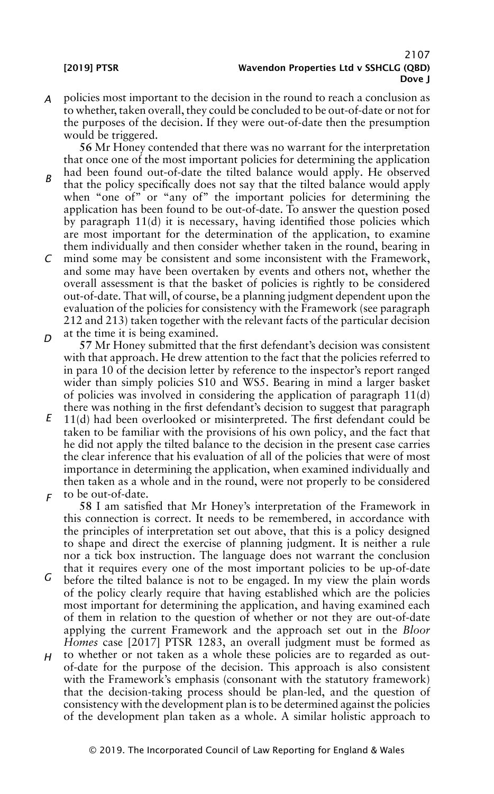*A* policies most important to the decision in the round to reach a conclusion as to whether, taken overall, they could be concluded to be out-of-date or not for the purposes of the decision. If they were out-of-date then the presumption would be triggered.

**56** Mr Honey contended that there was no warrant for the interpretation that once one of the most important policies for determining the application

- *B* had been found out-of-date the tilted balance would apply. He observed that the policy specifically does not say that the tilted balance would apply when "one of" or "any of" the important policies for determining the application has been found to be out-of-date. To answer the question posed by paragraph  $11(d)$  it is necessary, having identified those policies which are most important for the determination of the application, to examine them individually and then consider whether taken in the round, bearing in
- *C* mind some may be consistent and some inconsistent with the Framework, and some may have been overtaken by events and others not, whether the overall assessment is that the basket of policies is rightly to be considered out-of-date. That will, of course, be a planning judgment dependent upon the evaluation of the policies for consistency with the Framework (see paragraph 212 and 213) taken together with the relevant facts of the particular decision at the time it is being examined.
- *D* **57** Mr Honey submitted that the first defendant's decision was consistent with that approach. He drew attention to the fact that the policies referred to in para 10 of the decision letter by reference to the inspector's report ranged wider than simply policies S10 and WS5. Bearing in mind a larger basket of policies was involved in considering the application of paragraph  $11(d)$ there was nothing in the first defendant's decision to suggest that paragraph
- *E F* 11(d) had been overlooked or misinterpreted. The first defendant could be taken to be familiar with the provisions of his own policy, and the fact that he did not apply the tilted balance to the decision in the present case carries the clear inference that his evaluation of all of the policies that were of most importance in determining the application, when examined individually and then taken as a whole and in the round, were not properly to be considered to be out-of-date.

**58** I am satisfied that Mr Honey's interpretation of the Framework in this connection is correct. It needs to be remembered, in accordance with the principles of interpretation set out above, that this is a policy designed to shape and direct the exercise of planning judgment. It is neither a rule nor a tick box instruction. The language does not warrant the conclusion that it requires every one of the most important policies to be up-of-date

- *G* before the tilted balance is not to be engaged. In my view the plain words of the policy clearly require that having established which are the policies most important for determining the application, and having examined each of them in relation to the question of whether or not they are out-of-date applying the current Framework and the approach set out in the *Bloor Homes* case [2017] PTSR 1283, an overall judgment must be formed as
- *H* to whether or not taken as a whole these policies are to regarded as outof-date for the purpose of the decision. This approach is also consistent with the Framework's emphasis (consonant with the statutory framework) that the decision-taking process should be plan-led, and the question of consistency with the development plan is to be determined against the policies of the development plan taken as a whole. A similar holistic approach to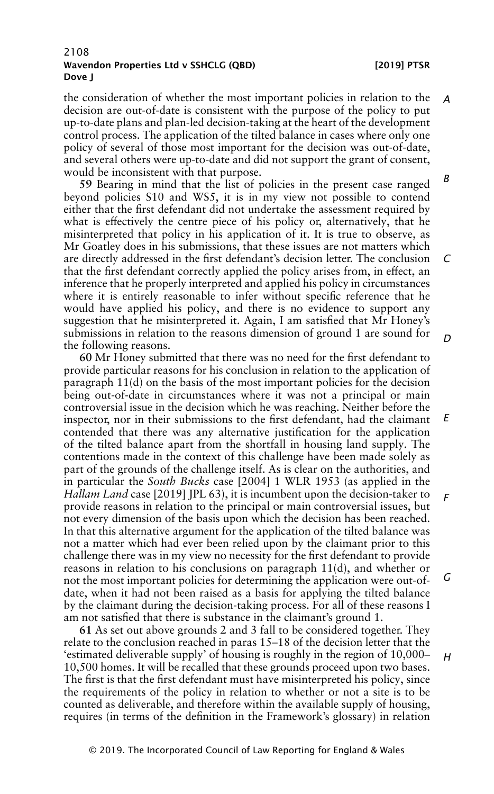the consideration of whether the most important policies in relation to the decision are out-of-date is consistent with the purpose of the policy to put up-to-date plans and plan-led decision-taking at the heart of the development control process. The application of the tilted balance in cases where only one policy of several of those most important for the decision was out-of-date, and several others were up-to-date and did not support the grant of consent, would be inconsistent with that purpose. *A B*

**59** Bearing in mind that the list of policies in the present case ranged beyond policies S10 and WS5, it is in my view not possible to contend either that the first defendant did not undertake the assessment required by what is effectively the centre piece of his policy or, alternatively, that he misinterpreted that policy in his application of it. It is true to observe, as Mr Goatley does in his submissions, that these issues are not matters which are directly addressed in the first defendant's decision letter. The conclusion that the first defendant correctly applied the policy arises from, in effect, an inference that he properly interpreted and applied his policy in circumstances where it is entirely reasonable to infer without specific reference that he would have applied his policy, and there is no evidence to support any suggestion that he misinterpreted it. Again, I am satisfied that Mr Honey's submissions in relation to the reasons dimension of ground 1 are sound for the following reasons. *C*

**60** Mr Honey submitted that there was no need for the first defendant to provide particular reasons for his conclusion in relation to the application of paragraph 11(d) on the basis of the most important policies for the decision being out-of-date in circumstances where it was not a principal or main controversial issue in the decision which he was reaching. Neither before the inspector, nor in their submissions to the first defendant, had the claimant contended that there was any alternative justification for the application of the tilted balance apart from the shortfall in housing land supply. The contentions made in the context of this challenge have been made solely as part of the grounds of the challenge itself. As is clear on the authorities, and in particular the *South Bucks* case [2004] 1 WLR 1953 (as applied in the *Hallam Land* case [2019] JPL 63), it is incumbent upon the decision-taker to provide reasons in relation to the principal or main controversial issues, but not every dimension of the basis upon which the decision has been reached. In that this alternative argument for the application of the tilted balance was not a matter which had ever been relied upon by the claimant prior to this challenge there was in my view no necessity for the first defendant to provide reasons in relation to his conclusions on paragraph 11(d), and whether or not the most important policies for determining the application were out-ofdate, when it had not been raised as a basis for applying the tilted balance by the claimant during the decision-taking process. For all of these reasons I am not satisfied that there is substance in the claimant's ground 1. *E F G*

**61** As set out above grounds 2 and 3 fall to be considered together. They relate to the conclusion reached in paras 15–18 of the decision letter that the 'estimated deliverable supply' of housing is roughly in the region of 10,000– 10,500 homes. It will be recalled that these grounds proceed upon two bases. The first is that the first defendant must have misinterpreted his policy, since the requirements of the policy in relation to whether or not a site is to be counted as deliverable, and therefore within the available supply of housing, requires (in terms of the definition in the Framework's glossary) in relation

*D*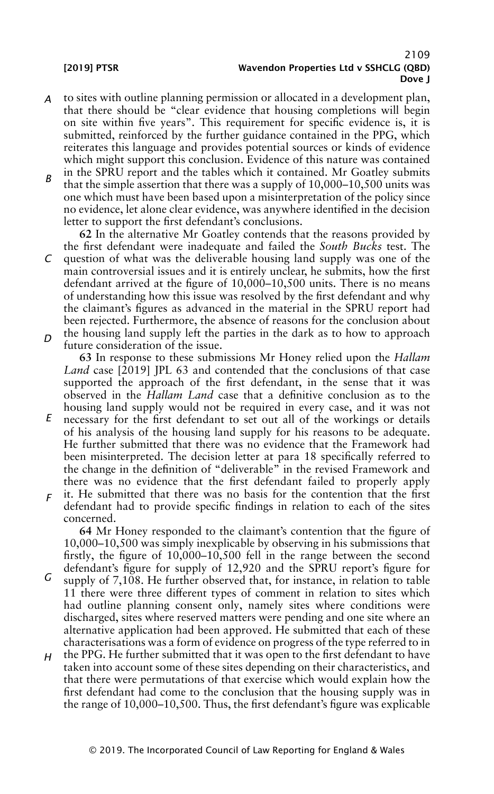- *A* to sites with outline planning permission or allocated in a development plan, that there should be "clear evidence that housing completions will begin on site within five years". This requirement for specific evidence is, it is submitted, reinforced by the further guidance contained in the PPG, which reiterates this language and provides potential sources or kinds of evidence which might support this conclusion. Evidence of this nature was contained in the SPRU report and the tables which it contained. Mr Goatley submits
- *B* that the simple assertion that there was a supply of 10,000–10,500 units was one which must have been based upon a misinterpretation of the policy since no evidence, let alone clear evidence, was anywhere identified in the decision letter to support the first defendant's conclusions.

*C D* **62** In the alternative Mr Goatley contends that the reasons provided by the first defendant were inadequate and failed the *South Bucks* test. The question of what was the deliverable housing land supply was one of the main controversial issues and it is entirely unclear, he submits, how the first defendant arrived at the figure of 10,000–10,500 units. There is no means of understanding how this issue was resolved by the first defendant and why the claimant's figures as advanced in the material in the SPRU report had been rejected. Furthermore, the absence of reasons for the conclusion about the housing land supply left the parties in the dark as to how to approach future consideration of the issue.

**63** In response to these submissions Mr Honey relied upon the *Hallam Land* case [2019] JPL 63 and contended that the conclusions of that case supported the approach of the first defendant, in the sense that it was observed in the *Hallam Land* case that a definitive conclusion as to the housing land supply would not be required in every case, and it was not

- *E* necessary for the first defendant to set out all of the workings or details of his analysis of the housing land supply for his reasons to be adequate. He further submitted that there was no evidence that the Framework had been misinterpreted. The decision letter at para 18 specifically referred to the change in the definition of "deliverable" in the revised Framework and there was no evidence that the first defendant failed to properly apply
- *F* it. He submitted that there was no basis for the contention that the first defendant had to provide specific findings in relation to each of the sites concerned.

**64** Mr Honey responded to the claimant's contention that the figure of 10,000–10,500 was simply inexplicable by observing in his submissions that firstly, the figure of 10,000–10,500 fell in the range between the second defendant's figure for supply of 12,920 and the SPRU report's figure for

- *G* supply of 7,108. He further observed that, for instance, in relation to table 11 there were three different types of comment in relation to sites which had outline planning consent only, namely sites where conditions were discharged, sites where reserved matters were pending and one site where an alternative application had been approved. He submitted that each of these characterisations was a form of evidence on progress of the type referred to in
- *H* the PPG. He further submitted that it was open to the first defendant to have taken into account some of these sites depending on their characteristics, and that there were permutations of that exercise which would explain how the first defendant had come to the conclusion that the housing supply was in the range of 10,000–10,500. Thus, the first defendant's figure was explicable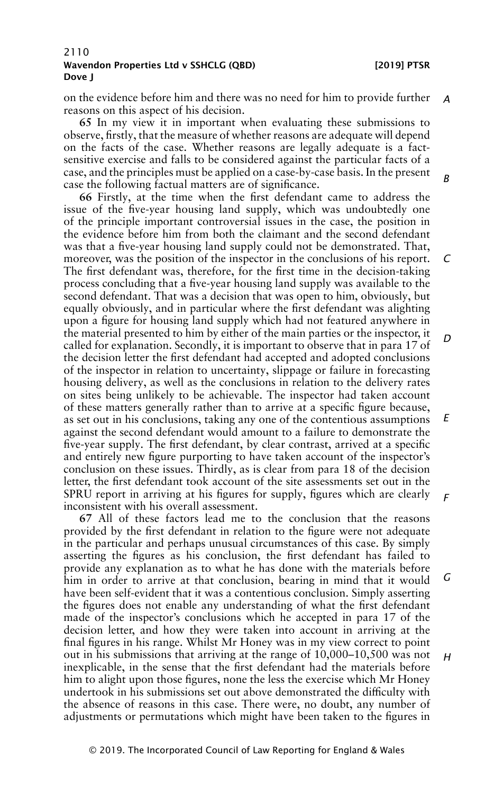*B*

### 2110 Wavendon Properties Ltd v SSHCLG (QBD) [2019] PTSR Dove J

on the evidence before him and there was no need for him to provide further *A* reasons on this aspect of his decision.

**65** In my view it in important when evaluating these submissions to observe, firstly, that the measure of whether reasons are adequate will depend on the facts of the case. Whether reasons are legally adequate is a factsensitive exercise and falls to be considered against the particular facts of a case, and the principles must be applied on a case-by-case basis. In the present case the following factual matters are of significance.

**66** Firstly, at the time when the first defendant came to address the issue of the five-year housing land supply, which was undoubtedly one of the principle important controversial issues in the case, the position in the evidence before him from both the claimant and the second defendant was that a five-year housing land supply could not be demonstrated. That, moreover, was the position of the inspector in the conclusions of his report. The first defendant was, therefore, for the first time in the decision-taking process concluding that a five-year housing land supply was available to the second defendant. That was a decision that was open to him, obviously, but equally obviously, and in particular where the first defendant was alighting upon a figure for housing land supply which had not featured anywhere in the material presented to him by either of the main parties or the inspector, it called for explanation. Secondly, it is important to observe that in para 17 of the decision letter the first defendant had accepted and adopted conclusions of the inspector in relation to uncertainty, slippage or failure in forecasting housing delivery, as well as the conclusions in relation to the delivery rates on sites being unlikely to be achievable. The inspector had taken account of these matters generally rather than to arrive at a specific figure because, as set out in his conclusions, taking any one of the contentious assumptions against the second defendant would amount to a failure to demonstrate the five-year supply. The first defendant, by clear contrast, arrived at a specific and entirely new figure purporting to have taken account of the inspector's conclusion on these issues. Thirdly, as is clear from para 18 of the decision letter, the first defendant took account of the site assessments set out in the SPRU report in arriving at his figures for supply, figures which are clearly inconsistent with his overall assessment. *C D E F*

**67** All of these factors lead me to the conclusion that the reasons provided by the first defendant in relation to the figure were not adequate in the particular and perhaps unusual circumstances of this case. By simply asserting the figures as his conclusion, the first defendant has failed to provide any explanation as to what he has done with the materials before him in order to arrive at that conclusion, bearing in mind that it would have been self-evident that it was a contentious conclusion. Simply asserting the figures does not enable any understanding of what the first defendant made of the inspector's conclusions which he accepted in para 17 of the decision letter, and how they were taken into account in arriving at the final figures in his range. Whilst Mr Honey was in my view correct to point out in his submissions that arriving at the range of 10,000–10,500 was not inexplicable, in the sense that the first defendant had the materials before him to alight upon those figures, none the less the exercise which Mr Honey undertook in his submissions set out above demonstrated the difficulty with the absence of reasons in this case. There were, no doubt, any number of adjustments or permutations which might have been taken to the figures in *G H*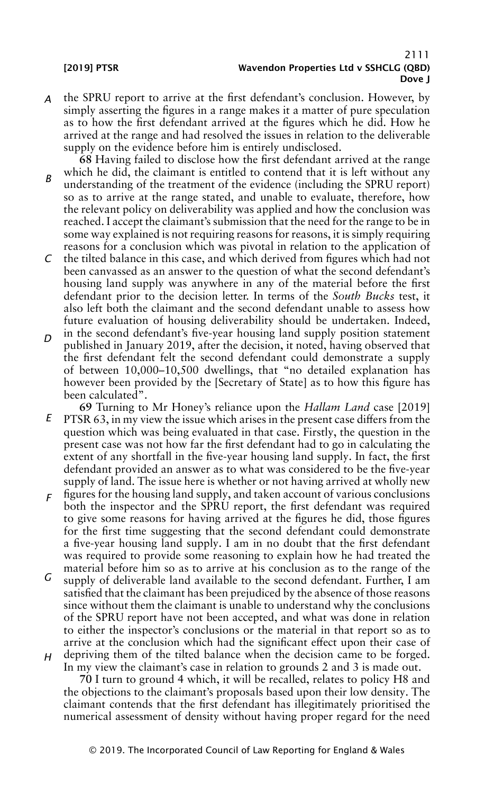- *A* the SPRU report to arrive at the first defendant's conclusion. However, by simply asserting the figures in a range makes it a matter of pure speculation as to how the first defendant arrived at the figures which he did. How he arrived at the range and had resolved the issues in relation to the deliverable supply on the evidence before him is entirely undisclosed.
- *B* **68** Having failed to disclose how the first defendant arrived at the range which he did, the claimant is entitled to contend that it is left without any understanding of the treatment of the evidence (including the SPRU report) so as to arrive at the range stated, and unable to evaluate, therefore, how the relevant policy on deliverability was applied and how the conclusion was reached. I accept the claimant's submission that the need for the range to be in some way explained is not requiring reasons for reasons, it is simply requiring reasons for a conclusion which was pivotal in relation to the application of
- *C* the tilted balance in this case, and which derived from figures which had not been canvassed as an answer to the question of what the second defendant's housing land supply was anywhere in any of the material before the first defendant prior to the decision letter. In terms of the *South Bucks* test, it also left both the claimant and the second defendant unable to assess how future evaluation of housing deliverability should be undertaken. Indeed,
- *D* in the second defendant's five-year housing land supply position statement published in January 2019, after the decision, it noted, having observed that the first defendant felt the second defendant could demonstrate a supply of between 10,000–10,500 dwellings, that "no detailed explanation has however been provided by the [Secretary of State] as to how this figure has been calculated".
- *E* **69** Turning to Mr Honey's reliance upon the *Hallam Land* case [2019] PTSR 63, in my view the issue which arises in the present case differs from the question which was being evaluated in that case. Firstly, the question in the present case was not how far the first defendant had to go in calculating the extent of any shortfall in the five-year housing land supply. In fact, the first defendant provided an answer as to what was considered to be the five-year supply of land. The issue here is whether or not having arrived at wholly new
- *F* figures for the housing land supply, and taken account of various conclusions both the inspector and the SPRU report, the first defendant was required to give some reasons for having arrived at the figures he did, those figures for the first time suggesting that the second defendant could demonstrate a five-year housing land supply. I am in no doubt that the first defendant was required to provide some reasoning to explain how he had treated the material before him so as to arrive at his conclusion as to the range of the
- *G H* supply of deliverable land available to the second defendant. Further, I am satisfied that the claimant has been prejudiced by the absence of those reasons since without them the claimant is unable to understand why the conclusions of the SPRU report have not been accepted, and what was done in relation to either the inspector's conclusions or the material in that report so as to arrive at the conclusion which had the significant effect upon their case of depriving them of the tilted balance when the decision came to be forged.

In my view the claimant's case in relation to grounds 2 and 3 is made out.

**70** I turn to ground 4 which, it will be recalled, relates to policy H8 and the objections to the claimant's proposals based upon their low density. The claimant contends that the first defendant has illegitimately prioritised the numerical assessment of density without having proper regard for the need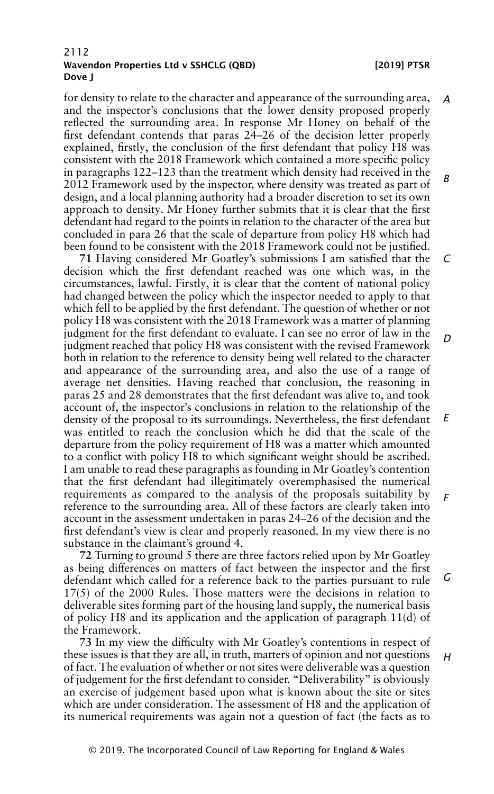*H*

for density to relate to the character and appearance of the surrounding area, and the inspector's conclusions that the lower density proposed properly reflected the surrounding area. In response Mr Honey on behalf of the first defendant contends that paras 24–26 of the decision letter properly explained, firstly, the conclusion of the first defendant that policy H8 was consistent with the 2018 Framework which contained a more specific policy in paragraphs 122–123 than the treatment which density had received in the 2012 Framework used by the inspector, where density was treated as part of design, and a local planning authority had a broader discretion to set its own approach to density. Mr Honey further submits that it is clear that the first defendant had regard to the points in relation to the character of the area but concluded in para 26 that the scale of departure from policy H8 which had been found to be consistent with the 2018 Framework could not be justified. *A B*

**71** Having considered Mr Goatley's submissions I am satisfied that the decision which the first defendant reached was one which was, in the circumstances, lawful. Firstly, it is clear that the content of national policy had changed between the policy which the inspector needed to apply to that which fell to be applied by the first defendant. The question of whether or not policy H8 was consistent with the 2018 Framework was a matter of planning judgment for the first defendant to evaluate. I can see no error of law in the judgment reached that policy H8 was consistent with the revised Framework both in relation to the reference to density being well related to the character and appearance of the surrounding area, and also the use of a range of average net densities. Having reached that conclusion, the reasoning in paras 25 and 28 demonstrates that the first defendant was alive to, and took account of, the inspector's conclusions in relation to the relationship of the density of the proposal to its surroundings. Nevertheless, the first defendant was entitled to reach the conclusion which he did that the scale of the departure from the policy requirement of H8 was a matter which amounted to a conflict with policy H8 to which significant weight should be ascribed. I am unable to read these paragraphs as founding in Mr Goatley's contention that the first defendant had illegitimately overemphasised the numerical requirements as compared to the analysis of the proposals suitability by reference to the surrounding area. All of these factors are clearly taken into account in the assessment undertaken in paras 24–26 of the decision and the first defendant's view is clear and properly reasoned. In my view there is no substance in the claimant's ground 4. *C D E F*

**72** Turning to ground 5 there are three factors relied upon by Mr Goatley as being differences on matters of fact between the inspector and the first defendant which called for a reference back to the parties pursuant to rule 17(5) of the 2000 Rules. Those matters were the decisions in relation to deliverable sites forming part of the housing land supply, the numerical basis of policy H8 and its application and the application of paragraph 11(d) of the Framework. *G*

**73** In my view the difficulty with Mr Goatley's contentions in respect of these issues is that they are all, in truth, matters of opinion and not questions of fact. The evaluation of whether or not sites were deliverable was a question of judgement for the first defendant to consider. "Deliverability" is obviously an exercise of judgement based upon what is known about the site or sites which are under consideration. The assessment of H8 and the application of its numerical requirements was again not a question of fact (the facts as to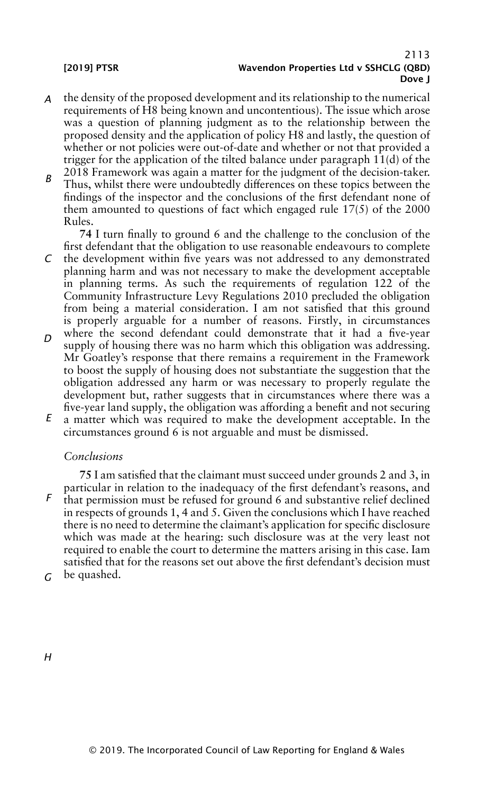- *A* the density of the proposed development and its relationship to the numerical requirements of H8 being known and uncontentious). The issue which arose was a question of planning judgment as to the relationship between the proposed density and the application of policy H8 and lastly, the question of whether or not policies were out-of-date and whether or not that provided a trigger for the application of the tilted balance under paragraph 11(d) of the 2018 Framework was again a matter for the judgment of the decision-taker.
- *B* Thus, whilst there were undoubtedly differences on these topics between the findings of the inspector and the conclusions of the first defendant none of them amounted to questions of fact which engaged rule 17(5) of the 2000 Rules.

**74** I turn finally to ground 6 and the challenge to the conclusion of the first defendant that the obligation to use reasonable endeavours to complete

- *C* the development within five years was not addressed to any demonstrated planning harm and was not necessary to make the development acceptable in planning terms. As such the requirements of regulation 122 of the Community Infrastructure Levy Regulations 2010 precluded the obligation from being a material consideration. I am not satisfied that this ground is properly arguable for a number of reasons. Firstly, in circumstances
- *D* where the second defendant could demonstrate that it had a five-year supply of housing there was no harm which this obligation was addressing. Mr Goatley's response that there remains a requirement in the Framework to boost the supply of housing does not substantiate the suggestion that the obligation addressed any harm or was necessary to properly regulate the development but, rather suggests that in circumstances where there was a five-year land supply, the obligation was affording a benefit and not securing
- *E* a matter which was required to make the development acceptable. In the circumstances ground 6 is not arguable and must be dismissed.

## *Conclusions*

*F* **75** I am satisfied that the claimant must succeed under grounds 2 and 3, in particular in relation to the inadequacy of the first defendant's reasons, and that permission must be refused for ground 6 and substantive relief declined in respects of grounds 1, 4 and 5. Given the conclusions which I have reached there is no need to determine the claimant's application for specific disclosure which was made at the hearing: such disclosure was at the very least not required to enable the court to determine the matters arising in this case. Iam satisfied that for the reasons set out above the first defendant's decision must be quashed.

*G*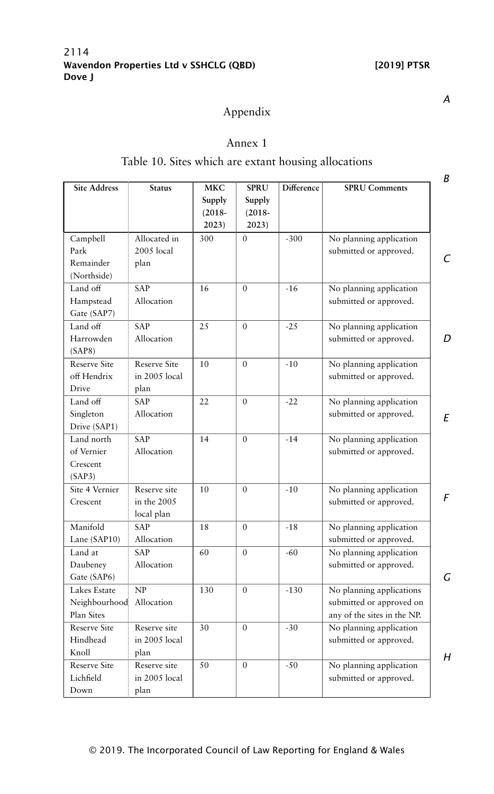# Appendix

# Annex 1

# Table 10. Sites which are extant housing allocations

| <b>Site Address</b>     | <b>Status</b>              | <b>MKC</b><br>Supply<br>$(2018 -$ | <b>SPRU</b><br>Supply<br>$(2018 -$ | Difference | <b>SPRU Comments</b>        |
|-------------------------|----------------------------|-----------------------------------|------------------------------------|------------|-----------------------------|
|                         |                            | 2023)                             | 2023)                              |            |                             |
| Campbell                | Allocated in<br>2005 local | 300                               | $\theta$                           | $-300$     | No planning application     |
| Park<br>Remainder       |                            |                                   |                                    |            | submitted or approved.      |
|                         | plan                       |                                   |                                    |            |                             |
| (Northside)<br>Land off |                            | 16                                | $\mathbf{0}$                       | $-16$      |                             |
|                         | SAP<br>Allocation          |                                   |                                    |            | No planning application     |
| Hampstead               |                            |                                   |                                    |            | submitted or approved.      |
| Gate (SAP7)             |                            |                                   |                                    |            |                             |
| Land off                | SAP                        | 25                                | $\mathbf{0}$                       | $-25$      | No planning application     |
| Harrowden<br>(SAP8)     | Allocation                 |                                   |                                    |            | submitted or approved.      |
| Reserve Site            | <b>Reserve Site</b>        | 10                                | $\theta$                           | $-10$      | No planning application     |
| off Hendrix             | in 2005 local              |                                   |                                    |            | submitted or approved.      |
| Drive                   | plan                       |                                   |                                    |            |                             |
| Land off                | SAP                        | 22                                | $\theta$                           | $-22$      | No planning application     |
| Singleton               | Allocation                 |                                   |                                    |            | submitted or approved.      |
| Drive (SAP1)            |                            |                                   |                                    |            |                             |
| Land north              | <b>SAP</b>                 | 14                                | $\theta$                           | $-14$      | No planning application     |
| of Vernier              | Allocation                 |                                   |                                    |            | submitted or approved.      |
| Crescent                |                            |                                   |                                    |            |                             |
| (SAP3)                  |                            |                                   |                                    |            |                             |
| Site 4 Vernier          | Reserve site               | 10                                | $\Omega$                           | $-10$      | No planning application     |
| Crescent                | in the 2005                |                                   |                                    |            | submitted or approved.      |
|                         | local plan                 |                                   |                                    |            |                             |
| Manifold                | SAP                        | 18                                | $\mathbf{0}$                       | $-18$      | No planning application     |
| Lane (SAP10)            | Allocation                 |                                   |                                    |            | submitted or approved.      |
| Land at                 | SAP                        | 60                                | $\theta$                           | $-60$      | No planning application     |
| Daubeney                | Allocation                 |                                   |                                    |            | submitted or approved.      |
| Gate (SAP6)             |                            |                                   |                                    |            |                             |
| Lakes Estate            | NP                         | 130                               | $\theta$                           | $-130$     | No planning applications    |
| Neighbourhood           | Allocation                 |                                   |                                    |            | submitted or approved on    |
| Plan Sites              |                            |                                   |                                    |            | any of the sites in the NP. |
| <b>Reserve Site</b>     | Reserve site               | 30                                | $\mathbf{0}$                       | $-30$      | No planning application     |
| Hindhead                | in 2005 local              |                                   |                                    |            | submitted or approved.      |
| Knoll                   | plan                       |                                   |                                    |            |                             |
| Reserve Site            | Reserve site               | 50                                | $\mathbf{0}$                       | $-50$      | No planning application     |
| Lichfield               | in 2005 local              |                                   |                                    |            | submitted or approved.      |
| Down                    | plan                       |                                   |                                    |            |                             |

*A*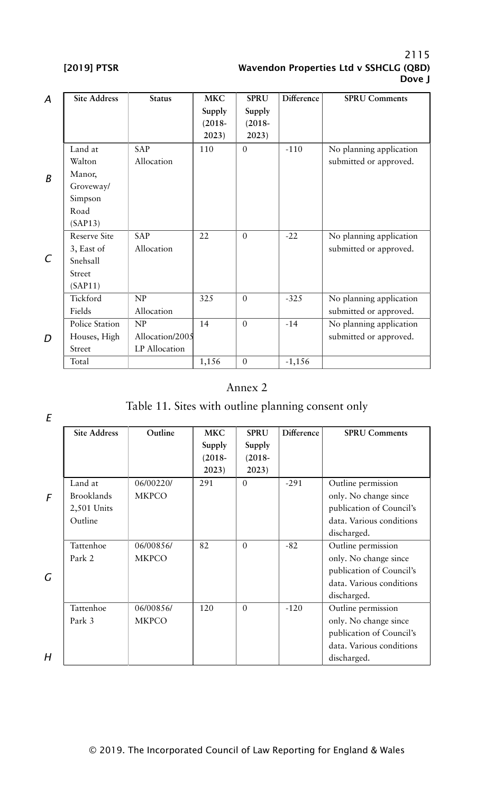| A | <b>Site Address</b> | <b>Status</b>   | <b>MKC</b> | <b>SPRU</b>  | Difference | <b>SPRU Comments</b>    |
|---|---------------------|-----------------|------------|--------------|------------|-------------------------|
|   |                     |                 | Supply     | Supply       |            |                         |
|   |                     |                 | $(2018 -$  | $(2018 -$    |            |                         |
|   |                     |                 | 2023)      | 2023)        |            |                         |
|   | Land at             | <b>SAP</b>      | 110        | $\theta$     | $-110$     | No planning application |
|   | Walton              | Allocation      |            |              |            | submitted or approved.  |
| B | Manor,              |                 |            |              |            |                         |
|   | Groveway/           |                 |            |              |            |                         |
|   | Simpson             |                 |            |              |            |                         |
|   | Road                |                 |            |              |            |                         |
|   | (SAP13)             |                 |            |              |            |                         |
|   | <b>Reserve Site</b> | <b>SAP</b>      | 22         | $\theta$     | $-22$      | No planning application |
|   | 3, East of          | Allocation      |            |              |            | submitted or approved.  |
| C | Snehsall            |                 |            |              |            |                         |
|   | Street              |                 |            |              |            |                         |
|   | (SAP11)             |                 |            |              |            |                         |
|   | Tickford            | NP              | 325        | $\Omega$     | $-325$     | No planning application |
|   | Fields              | Allocation      |            |              |            | submitted or approved.  |
|   | Police Station      | NP              | 14         | $\Omega$     | $-14$      | No planning application |
| D | Houses, High        | Allocation/2005 |            |              |            | submitted or approved.  |
|   | Street              | LP Allocation   |            |              |            |                         |
|   | Total               |                 | 1,156      | $\mathbf{0}$ | $-1,156$   |                         |

# Annex 2

# Table 11. Sites with outline planning consent only

|   | <b>Site Address</b> | Outline      | <b>MKC</b> | <b>SPRU</b> | Difference | <b>SPRU Comments</b>     |
|---|---------------------|--------------|------------|-------------|------------|--------------------------|
|   |                     |              | Supply     | Supply      |            |                          |
|   |                     |              | $(2018 -$  | $(2018 -$   |            |                          |
|   |                     |              | 2023)      | 2023)       |            |                          |
|   | Land at             | 06/00220/    | 291        | $\Omega$    | $-291$     | Outline permission       |
| F | <b>Brooklands</b>   | <b>MKPCO</b> |            |             |            | only. No change since    |
|   | 2,501 Units         |              |            |             |            | publication of Council's |
|   | Outline             |              |            |             |            | data. Various conditions |
|   |                     |              |            |             |            | discharged.              |
|   | Tattenhoe           | 06/00856/    | 82         | $\Omega$    | $-82$      | Outline permission       |
|   | Park 2              | <b>MKPCO</b> |            |             |            | only. No change since    |
| G |                     |              |            |             |            | publication of Council's |
|   |                     |              |            |             |            | data. Various conditions |
|   |                     |              |            |             |            | discharged.              |
|   | Tattenhoe           | 06/00856/    | 120        | $\Omega$    | $-120$     | Outline permission       |
|   | Park 3              | <b>MKPCO</b> |            |             |            | only. No change since    |
|   |                     |              |            |             |            | publication of Council's |
|   |                     |              |            |             |            | data. Various conditions |
| H |                     |              |            |             |            | discharged.              |

*E*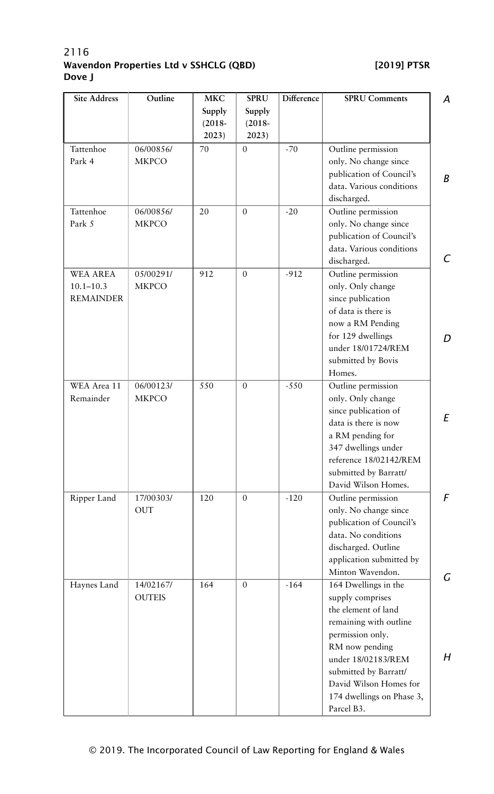| <b>Site Address</b>                                  | Outline                   | <b>MKC</b>                   | <b>SPRU</b>                  | Difference | <b>SPRU Comments</b>                                                                                                                                                                                                                                | A      |
|------------------------------------------------------|---------------------------|------------------------------|------------------------------|------------|-----------------------------------------------------------------------------------------------------------------------------------------------------------------------------------------------------------------------------------------------------|--------|
|                                                      |                           | Supply<br>$(2018 -$<br>2023) | Supply<br>$(2018 -$<br>2023) |            |                                                                                                                                                                                                                                                     |        |
| Tattenhoe<br>Park 4                                  | 06/00856/<br><b>MKPCO</b> | 70                           | $\mathbf{0}$                 | $-70$      | Outline permission<br>only. No change since<br>publication of Council's<br>data. Various conditions<br>discharged.                                                                                                                                  | B      |
| Tattenhoe<br>Park 5                                  | 06/00856/<br><b>MKPCO</b> | 20                           | $\mathbf{0}$                 | $-20$      | Outline permission<br>only. No change since<br>publication of Council's<br>data. Various conditions<br>discharged.                                                                                                                                  | C      |
| <b>WEA AREA</b><br>$10.1 - 10.3$<br><b>REMAINDER</b> | 05/00291/<br><b>MKPCO</b> | 912                          | $\Omega$                     | $-912$     | Outline permission<br>only. Only change<br>since publication<br>of data is there is<br>now a RM Pending<br>for 129 dwellings<br>under 18/01724/REM<br>submitted by Bovis<br>Homes.                                                                  | D      |
| WEA Area 11<br>Remainder                             | 06/00123/<br><b>MKPCO</b> | 550                          | $\mathbf{0}$                 | $-550$     | Outline permission<br>only. Only change<br>since publication of<br>data is there is now<br>a RM pending for<br>347 dwellings under<br>reference 18/02142/REM<br>submitted by Barratt/<br>David Wilson Homes.                                        | E      |
| Ripper Land                                          | 17/00303/<br><b>OUT</b>   | 120                          | $\mathbf{0}$                 | $-120$     | Outline permission<br>only. No change since<br>publication of Council's<br>data. No conditions<br>discharged. Outline<br>application submitted by<br>Minton Wavendon.                                                                               | F<br>G |
| Haynes Land                                          | 14/02167/<br>OUTEIS       | 164                          | $\overline{0}$               | $-164$     | 164 Dwellings in the<br>supply comprises<br>the element of land<br>remaining with outline<br>permission only.<br>RM now pending<br>under 18/02183/REM<br>submitted by Barratt/<br>David Wilson Homes for<br>174 dwellings on Phase 3,<br>Parcel B3. | Н      |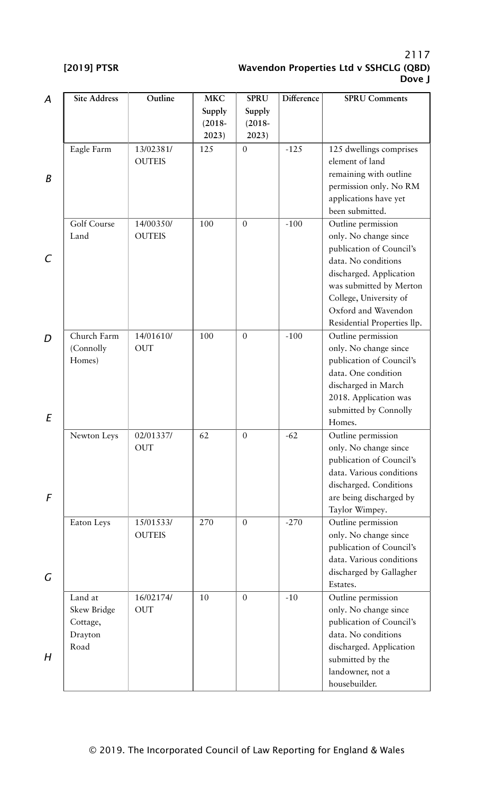| А | <b>Site Address</b> | Outline       | <b>MKC</b> | <b>SPRU</b>      | Difference | <b>SPRU Comments</b>        |
|---|---------------------|---------------|------------|------------------|------------|-----------------------------|
|   |                     |               | Supply     | Supply           |            |                             |
|   |                     |               | $(2018 -$  | $(2018 -$        |            |                             |
|   |                     |               | 2023)      | 2023)            |            |                             |
|   | Eagle Farm          | 13/02381/     | 125        | $\mathbf{0}$     | $-125$     | 125 dwellings comprises     |
|   |                     | <b>OUTEIS</b> |            |                  |            | element of land             |
|   |                     |               |            |                  |            | remaining with outline      |
| В |                     |               |            |                  |            | permission only. No RM      |
|   |                     |               |            |                  |            | applications have yet       |
|   |                     |               |            |                  |            | been submitted.             |
|   | Golf Course         | 14/00350/     | 100        | $\mathbf{0}$     | $-100$     | Outline permission          |
|   | Land                | <b>OUTEIS</b> |            |                  |            | only. No change since       |
|   |                     |               |            |                  |            | publication of Council's    |
| C |                     |               |            |                  |            | data. No conditions         |
|   |                     |               |            |                  |            | discharged. Application     |
|   |                     |               |            |                  |            |                             |
|   |                     |               |            |                  |            | was submitted by Merton     |
|   |                     |               |            |                  |            | College, University of      |
|   |                     |               |            |                  |            | Oxford and Wavendon         |
|   |                     |               |            |                  |            | Residential Properties llp. |
| D | Church Farm         | 14/01610/     | 100        | $\overline{0}$   | $-100$     | Outline permission          |
|   | (Connolly           | <b>OUT</b>    |            |                  |            | only. No change since       |
|   | Homes)              |               |            |                  |            | publication of Council's    |
|   |                     |               |            |                  |            | data. One condition         |
|   |                     |               |            |                  |            | discharged in March         |
|   |                     |               |            |                  |            | 2018. Application was       |
| Ε |                     |               |            |                  |            | submitted by Connolly       |
|   |                     |               |            |                  |            | Homes.                      |
|   | Newton Leys         | 02/01337/     | 62         | $\mathbf{0}$     | $-62$      | Outline permission          |
|   |                     | <b>OUT</b>    |            |                  |            | only. No change since       |
|   |                     |               |            |                  |            | publication of Council's    |
|   |                     |               |            |                  |            | data. Various conditions    |
|   |                     |               |            |                  |            | discharged. Conditions      |
| F |                     |               |            |                  |            | are being discharged by     |
|   |                     |               |            |                  |            | Taylor Wimpey.              |
|   | Eaton Leys          | 15/01533/     | 270        | $\mathbf{0}$     | $-270$     | Outline permission          |
|   |                     | <b>OUTEIS</b> |            |                  |            | only. No change since       |
|   |                     |               |            |                  |            | publication of Council's    |
|   |                     |               |            |                  |            | data. Various conditions    |
|   |                     |               |            |                  |            | discharged by Gallagher     |
| G |                     |               |            |                  |            | Estates.                    |
|   | Land at             | 16/02174/     | $10\,$     | $\boldsymbol{0}$ | $-10$      | Outline permission          |
|   | Skew Bridge         | <b>OUT</b>    |            |                  |            | only. No change since       |
|   | Cottage,            |               |            |                  |            | publication of Council's    |
|   | Drayton             |               |            |                  |            | data. No conditions         |
|   | Road                |               |            |                  |            | discharged. Application     |
| H |                     |               |            |                  |            | submitted by the            |
|   |                     |               |            |                  |            | landowner, not a            |
|   |                     |               |            |                  |            | housebuilder.               |
|   |                     |               |            |                  |            |                             |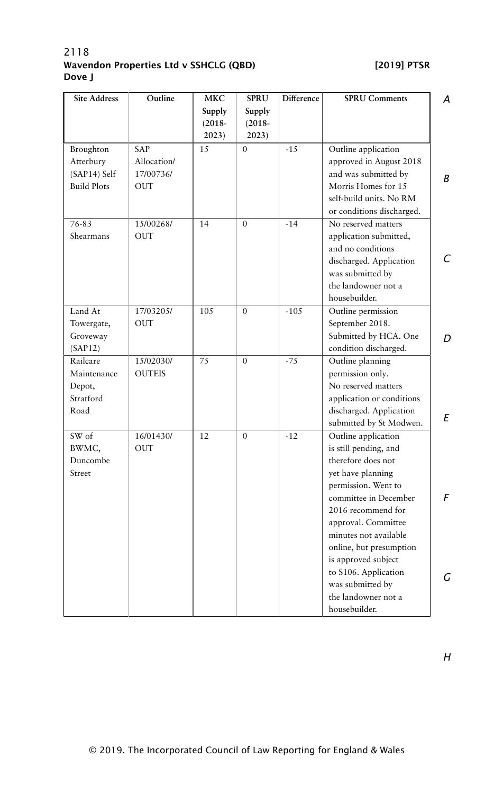| <b>Site Address</b>                                          | Outline                                              | <b>MKC</b>          | <b>SPRU</b>        | Difference | <b>SPRU Comments</b>                                                                                                                                                                                                                                                                                                                                | A      |
|--------------------------------------------------------------|------------------------------------------------------|---------------------|--------------------|------------|-----------------------------------------------------------------------------------------------------------------------------------------------------------------------------------------------------------------------------------------------------------------------------------------------------------------------------------------------------|--------|
|                                                              |                                                      | Supply<br>$(2018 -$ | Supply             |            |                                                                                                                                                                                                                                                                                                                                                     |        |
|                                                              |                                                      | 2023)               | $(2018 -$<br>2023) |            |                                                                                                                                                                                                                                                                                                                                                     |        |
| Broughton<br>Atterbury<br>(SAP14) Self<br><b>Build Plots</b> | <b>SAP</b><br>Allocation/<br>17/00736/<br><b>OUT</b> | 15                  | $\overline{0}$     | $-15$      | Outline application<br>approved in August 2018<br>and was submitted by<br>Morris Homes for 15<br>self-build units. No RM                                                                                                                                                                                                                            | В      |
| 76-83<br>Shearmans                                           | 15/00268/<br><b>OUT</b>                              | 14                  | $\mathbf{0}$       | $-14$      | or conditions discharged.<br>No reserved matters<br>application submitted,<br>and no conditions<br>discharged. Application<br>was submitted by<br>the landowner not a<br>housebuilder.                                                                                                                                                              | C      |
| Land At<br>Towergate,<br>Groveway<br>(SAP12)                 | 17/03205/<br><b>OUT</b>                              | 105                 | $\Omega$           | $-105$     | Outline permission<br>September 2018.<br>Submitted by HCA. One<br>condition discharged.                                                                                                                                                                                                                                                             | D      |
| Railcare<br>Maintenance<br>Depot,<br>Stratford<br>Road       | 15/02030/<br><b>OUTEIS</b>                           | 75                  | $\mathbf{0}$       | $-75$      | Outline planning<br>permission only.<br>No reserved matters<br>application or conditions<br>discharged. Application<br>submitted by St Modwen.                                                                                                                                                                                                      | E      |
| SW of<br>BWMC,<br>Duncombe<br>Street                         | 16/01430/<br><b>OUT</b>                              | 12                  | $\mathbf{0}$       | $-12$      | Outline application<br>is still pending, and<br>therefore does not<br>yet have planning<br>permission. Went to<br>committee in December<br>2016 recommend for<br>approval. Committee<br>minutes not available<br>online, but presumption<br>is approved subject<br>to S106. Application<br>was submitted by<br>the landowner not a<br>housebuilder. | F<br>G |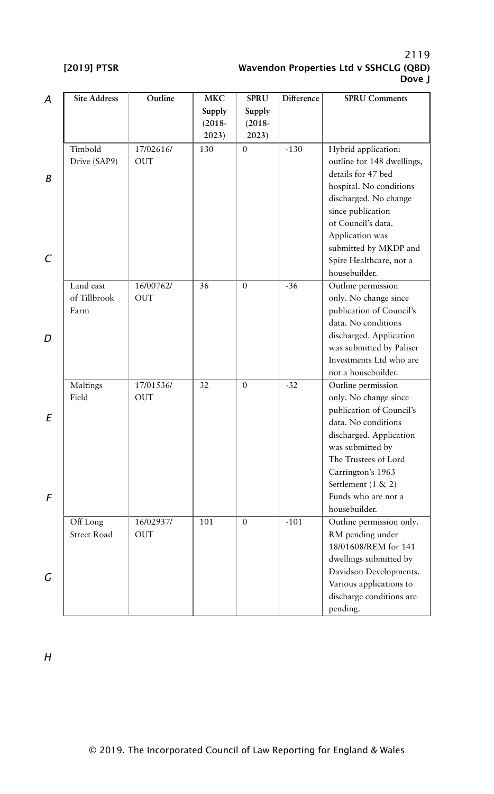| А | Site Address | Outline    | <b>MKC</b> | <b>SPRU</b>  | Difference | <b>SPRU Comments</b>       |
|---|--------------|------------|------------|--------------|------------|----------------------------|
|   |              |            | Supply     | Supply       |            |                            |
|   |              |            | $(2018 -$  | $(2018 -$    |            |                            |
|   |              |            | 2023)      | 2023)        |            |                            |
|   | Timbold      | 17/02616/  | 130        | $\mathbf{0}$ | $-130$     | Hybrid application:        |
|   | Drive (SAP9) | <b>OUT</b> |            |              |            | outline for 148 dwellings, |
|   |              |            |            |              |            | details for 47 bed         |
| B |              |            |            |              |            | hospital. No conditions    |
|   |              |            |            |              |            | discharged. No change      |
|   |              |            |            |              |            | since publication          |
|   |              |            |            |              |            | of Council's data.         |
|   |              |            |            |              |            | Application was            |
|   |              |            |            |              |            | submitted by MKDP and      |
| C |              |            |            |              |            | Spire Healthcare, not a    |
|   |              |            |            |              |            | housebuilder.              |
|   | Land east    | 16/00762/  | 36         | $\mathbf{0}$ | $-36$      | Outline permission         |
|   | of Tillbrook | <b>OUT</b> |            |              |            | only. No change since      |
|   | Farm         |            |            |              |            | publication of Council's   |
|   |              |            |            |              |            | data. No conditions        |
| D |              |            |            |              |            | discharged. Application    |
|   |              |            |            |              |            | was submitted by Paliser   |
|   |              |            |            |              |            | Investments Ltd who are    |
|   |              |            |            |              |            | not a housebuilder.        |
|   | Maltings     | 17/01536/  | 32         | $\Omega$     | $-32$      | Outline permission         |
|   | Field        | <b>OUT</b> |            |              |            | only. No change since      |
|   |              |            |            |              |            | publication of Council's   |
| Ε |              |            |            |              |            | data. No conditions        |
|   |              |            |            |              |            | discharged. Application    |
|   |              |            |            |              |            | was submitted by           |
|   |              |            |            |              |            | The Trustees of Lord       |
|   |              |            |            |              |            | Carrington's 1963          |
|   |              |            |            |              |            | Settlement (1 & 2)         |
| F |              |            |            |              |            | Funds who are not a        |
|   |              |            |            |              |            | housebuilder.              |
|   | Off Long     | 16/02937/  | 101        | $\mathbf{0}$ | $-101$     | Outline permission only.   |
|   | Street Road  | <b>OUT</b> |            |              |            | RM pending under           |
|   |              |            |            |              |            | 18/01608/REM for 141       |
|   |              |            |            |              |            | dwellings submitted by     |
|   |              |            |            |              |            | Davidson Developments.     |
| G |              |            |            |              |            | Various applications to    |
|   |              |            |            |              |            | discharge conditions are   |
|   |              |            |            |              |            | pending.                   |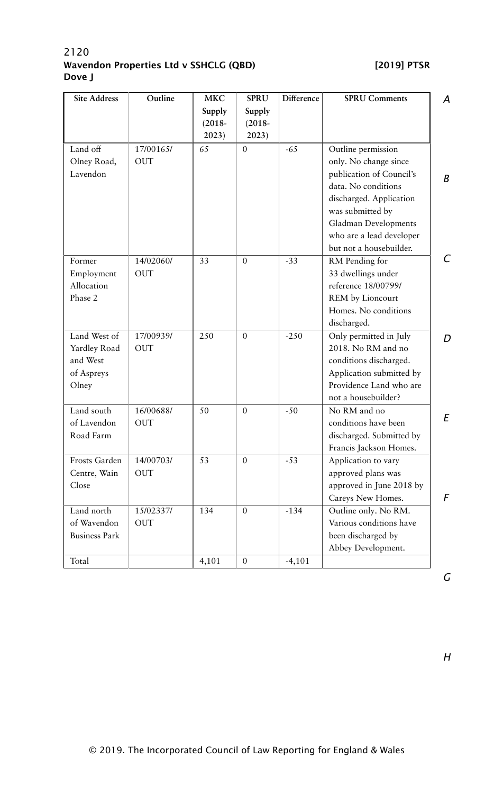| <b>Site Address</b>  | Outline    | <b>MKC</b> | <b>SPRU</b>  | Difference | <b>SPRU Comments</b>     | A |
|----------------------|------------|------------|--------------|------------|--------------------------|---|
|                      |            | Supply     | Supply       |            |                          |   |
|                      |            | $(2018 -$  | $(2018 -$    |            |                          |   |
|                      |            | 2023)      | 2023)        |            |                          |   |
| Land off             | 17/00165/  | 65         | $\theta$     | $-65$      | Outline permission       |   |
| Olney Road,          | <b>OUT</b> |            |              |            | only. No change since    |   |
| Lavendon             |            |            |              |            | publication of Council's | B |
|                      |            |            |              |            | data. No conditions      |   |
|                      |            |            |              |            | discharged. Application  |   |
|                      |            |            |              |            | was submitted by         |   |
|                      |            |            |              |            | Gladman Developments     |   |
|                      |            |            |              |            | who are a lead developer |   |
|                      |            |            |              |            | but not a housebuilder.  |   |
| Former               | 14/02060/  | 33         | $\mathbf{0}$ | $-33$      | RM Pending for           | C |
| Employment           | <b>OUT</b> |            |              |            | 33 dwellings under       |   |
| Allocation           |            |            |              |            | reference 18/00799/      |   |
| Phase 2              |            |            |              |            | REM by Lioncourt         |   |
|                      |            |            |              |            | Homes. No conditions     |   |
|                      |            |            |              |            | discharged.              |   |
| Land West of         | 17/00939/  | 250        | $\theta$     | $-250$     | Only permitted in July   | D |
| Yardley Road         | <b>OUT</b> |            |              |            | 2018. No RM and no       |   |
| and West             |            |            |              |            | conditions discharged.   |   |
| of Aspreys           |            |            |              |            | Application submitted by |   |
| Olney                |            |            |              |            | Providence Land who are  |   |
|                      |            |            |              |            | not a housebuilder?      |   |
| Land south           | 16/00688/  | 50         | $\theta$     | $-50$      | No RM and no             |   |
| of Lavendon          | <b>OUT</b> |            |              |            | conditions have been     | E |
| Road Farm            |            |            |              |            | discharged. Submitted by |   |
|                      |            |            |              |            | Francis Jackson Homes.   |   |
| Frosts Garden        | 14/00703/  | 53         | $\mathbf{0}$ | $-53$      | Application to vary      |   |
| Centre, Wain         | <b>OUT</b> |            |              |            | approved plans was       |   |
| Close                |            |            |              |            | approved in June 2018 by |   |
|                      |            |            |              |            | Careys New Homes.        | F |
| Land north           | 15/02337/  | 134        | $\theta$     | $-134$     | Outline only. No RM.     |   |
| of Wavendon          | <b>OUT</b> |            |              |            | Various conditions have  |   |
| <b>Business Park</b> |            |            |              |            | been discharged by       |   |
|                      |            |            |              |            | Abbey Development.       |   |
|                      |            |            | $\theta$     |            |                          |   |
| Total                |            | 4,101      |              | $-4,101$   |                          |   |

*G*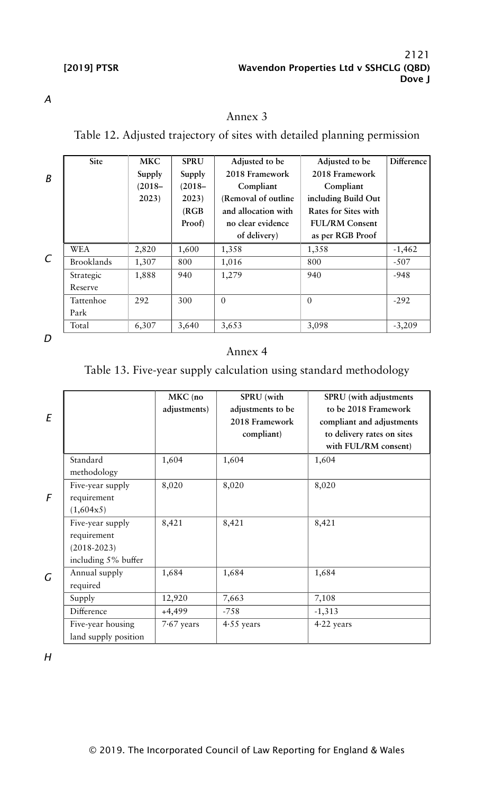*A*

# Annex 3

Table 12. Adjusted trajectory of sites with detailed planning permission

| B | Site              | MKC<br>Supply<br>$(2018 -$ | <b>SPRU</b><br>Supply<br>$(2018 -$ | Adjusted to be<br>2018 Framework<br>Compliant | Adjusted to be<br>2018 Framework<br>Compliant | Difference |
|---|-------------------|----------------------------|------------------------------------|-----------------------------------------------|-----------------------------------------------|------------|
|   |                   | 2023)                      | 2023)<br>(RGB)                     | (Removal of outline)<br>and allocation with   | including Build Out<br>Rates for Sites with   |            |
|   |                   |                            | Proof)                             | no clear evidence                             | <b>FUL/RM Consent</b>                         |            |
|   |                   |                            |                                    | of delivery)                                  | as per RGB Proof                              |            |
|   | <b>WEA</b>        | 2,820                      | 1,600                              | 1,358                                         | 1,358                                         | $-1,462$   |
| C | <b>Brooklands</b> | 1,307                      | 800                                | 1,016                                         | 800                                           | $-507$     |
|   | Strategic         | 1,888                      | 940                                | 1,279                                         | 940                                           | $-948$     |
|   | Reserve           |                            |                                    |                                               |                                               |            |
|   | Tattenhoe         | 292                        | 300                                | $\Omega$                                      | $\Omega$                                      | $-292$     |
|   | Park              |                            |                                    |                                               |                                               |            |
|   | Total             | 6,307                      | 3,640                              | 3,653                                         | 3,098                                         | $-3,209$   |

*D*

# Annex 4

# Table 13. Five-year supply calculation using standard methodology

| E |                                                                           | MKC (no<br>adjustments) | SPRU (with<br>adjustments to be<br>2018 Framework<br>compliant) | SPRU (with adjustments<br>to be 2018 Framework<br>compliant and adjustments<br>to delivery rates on sites<br>with FUL/RM consent) |
|---|---------------------------------------------------------------------------|-------------------------|-----------------------------------------------------------------|-----------------------------------------------------------------------------------------------------------------------------------|
|   | Standard<br>methodology                                                   | 1,604                   | 1,604                                                           | 1,604                                                                                                                             |
| F | Five-year supply<br>requirement<br>(1,604x5)                              | 8,020                   | 8,020                                                           | 8,020                                                                                                                             |
|   | Five-year supply<br>requirement<br>$(2018 - 2023)$<br>including 5% buffer | 8,421                   | 8,421                                                           | 8,421                                                                                                                             |
| G | Annual supply<br>required                                                 | 1,684                   | 1,684                                                           | 1,684                                                                                                                             |
|   | Supply                                                                    | 12,920                  | 7,663                                                           | 7,108                                                                                                                             |
|   | Difference                                                                | $+4,499$                | $-758$                                                          | $-1,313$                                                                                                                          |
|   | Five-year housing<br>land supply position                                 | $7.67$ years            | $4.55$ years                                                    | $4.22$ years                                                                                                                      |